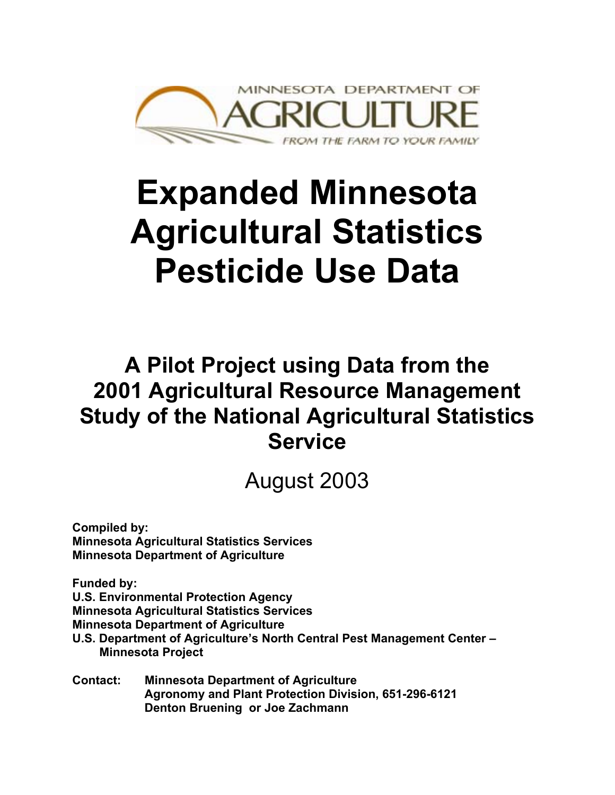

# **Expanded Minnesota Agricultural Statistics Pesticide Use Data**

# **A Pilot Project using Data from the 2001 Agricultural Resource Management Study of the National Agricultural Statistics Service**

August 2003

**Compiled by: Minnesota Agricultural Statistics Services Minnesota Department of Agriculture** 

**Funded by: U.S. Environmental Protection Agency Minnesota Agricultural Statistics Services Minnesota Department of Agriculture U.S. Department of Agriculture's North Central Pest Management Center -Minnesota Project** 

**Contact: Minnesota Department of Agriculture Agronomy and Plant Protection Division, 651-296-6121 Denton Bruening or Joe Zachmann**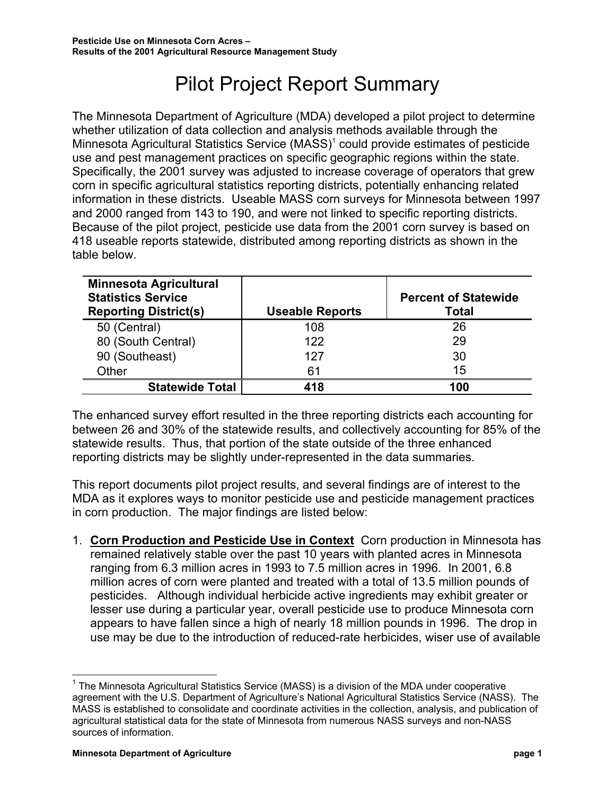# Pilot Project Report Summary

The Minnesota Department of Agriculture (MDA) developed a pilot project to determine whether utilization of data collection and analysis methods available through the Minnesota Agricultural Statistics Service (MASS)<sup>1</sup> could provide estimates of pesticide use and pest management practices on specific geographic regions within the state. Specifically, the 2001 survey was adjusted to increase coverage of operators that grew corn in specific agricultural statistics reporting districts, potentially enhancing related information in these districts. Useable MASS corn surveys for Minnesota between 1997 and 2000 ranged from 143 to 190, and were not linked to specific reporting districts. Because of the pilot project, pesticide use data from the 2001 corn survey is based on 418 useable reports statewide, distributed among reporting districts as shown in the table below.

| <b>Minnesota Agricultural</b><br><b>Statistics Service</b><br><b>Reporting District(s)</b> | <b>Useable Reports</b> | <b>Percent of Statewide</b><br><b>Total</b> |
|--------------------------------------------------------------------------------------------|------------------------|---------------------------------------------|
| 50 (Central)                                                                               | 108                    | 26                                          |
| 80 (South Central)                                                                         | 122                    | 29                                          |
| 90 (Southeast)                                                                             | 127                    | 30                                          |
| Other                                                                                      | 61                     | 15                                          |
| <b>Statewide Total</b>                                                                     | 418                    | 100                                         |

The enhanced survey effort resulted in the three reporting districts each accounting for between 26 and 30% of the statewide results, and collectively accounting for 85% of the statewide results. Thus, that portion of the state outside of the three enhanced reporting districts may be slightly under-represented in the data summaries.

This report documents pilot project results, and several findings are of interest to the MDA as it explores ways to monitor pesticide use and pesticide management practices in corn production. The major findings are listed below:

1. **Corn Production and Pesticide Use in Context** Corn production in Minnesota has remained relatively stable over the past 10 years with planted acres in Minnesota ranging from 6.3 million acres in 1993 to 7.5 million acres in 1996. In 2001, 6.8 million acres of corn were planted and treated with a total of 13.5 million pounds of pesticides. Although individual herbicide active ingredients may exhibit greater or lesser use during a particular year, overall pesticide use to produce Minnesota corn appears to have fallen since a high of nearly 18 million pounds in 1996. The drop in use may be due to the introduction of reduced-rate herbicides, wiser use of available

 $\overline{a}$ <sup>1</sup> The Minnesota Agricultural Statistics Service (MASS) is a division of the MDA under cooperative agreement with the U.S. Department of Agricultureís National Agricultural Statistics Service (NASS). The MASS is established to consolidate and coordinate activities in the collection, analysis, and publication of agricultural statistical data for the state of Minnesota from numerous NASS surveys and non-NASS sources of information.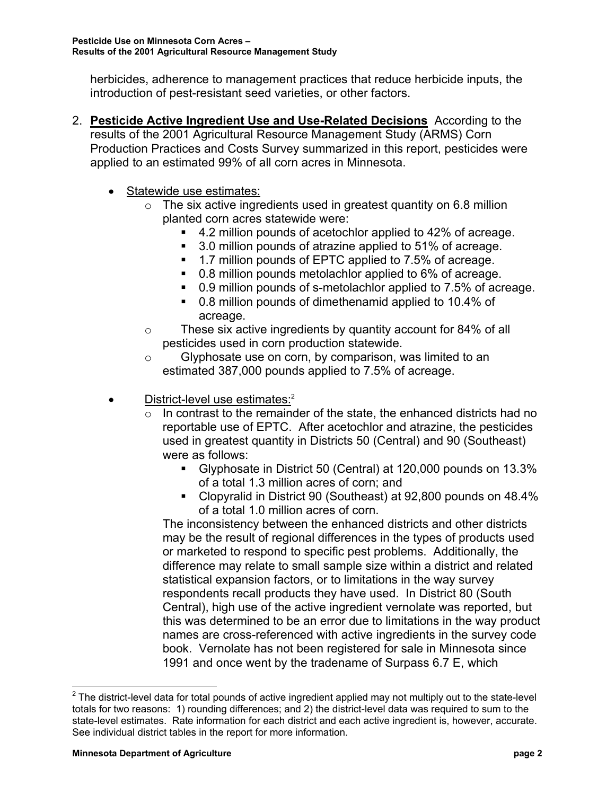herbicides, adherence to management practices that reduce herbicide inputs, the introduction of pest-resistant seed varieties, or other factors.

- 2. **Pesticide Active Ingredient Use and Use-Related Decisions** According to the results of the 2001 Agricultural Resource Management Study (ARMS) Corn Production Practices and Costs Survey summarized in this report, pesticides were applied to an estimated 99% of all corn acres in Minnesota.
	- Statewide use estimates:
		- $\circ$  The six active ingredients used in greatest quantity on 6.8 million planted corn acres statewide were:
			- 4.2 million pounds of acetochlor applied to 42% of acreage.
			- 3.0 million pounds of atrazine applied to 51% of acreage.
			- 1.7 million pounds of EPTC applied to 7.5% of acreage.
			- ! 0.8 million pounds metolachlor applied to 6% of acreage.
			- ! 0.9 million pounds of s-metolachlor applied to 7.5% of acreage.
			- ! 0.8 million pounds of dimethenamid applied to 10.4% of acreage.
		- o These six active ingredients by quantity account for 84% of all pesticides used in corn production statewide.
		- o Glyphosate use on corn, by comparison, was limited to an estimated 387,000 pounds applied to 7.5% of acreage.
	- District-level use estimates:<sup>2</sup>
		- In contrast to the remainder of the state, the enhanced districts had no reportable use of EPTC. After acetochlor and atrazine, the pesticides used in greatest quantity in Districts 50 (Central) and 90 (Southeast) were as follows:
			- ! Glyphosate in District 50 (Central) at 120,000 pounds on 13.3% of a total 1.3 million acres of corn; and
			- ! Clopyralid in District 90 (Southeast) at 92,800 pounds on 48.4% of a total 1.0 million acres of corn.

The inconsistency between the enhanced districts and other districts may be the result of regional differences in the types of products used or marketed to respond to specific pest problems. Additionally, the difference may relate to small sample size within a district and related statistical expansion factors, or to limitations in the way survey respondents recall products they have used. In District 80 (South Central), high use of the active ingredient vernolate was reported, but this was determined to be an error due to limitations in the way product names are cross-referenced with active ingredients in the survey code book. Vernolate has not been registered for sale in Minnesota since 1991 and once went by the tradename of Surpass 6.7 E, which

 $\overline{a}$ 

 $2$  The district-level data for total pounds of active ingredient applied may not multiply out to the state-level totals for two reasons: 1) rounding differences; and 2) the district-level data was required to sum to the state-level estimates. Rate information for each district and each active ingredient is, however, accurate. See individual district tables in the report for more information.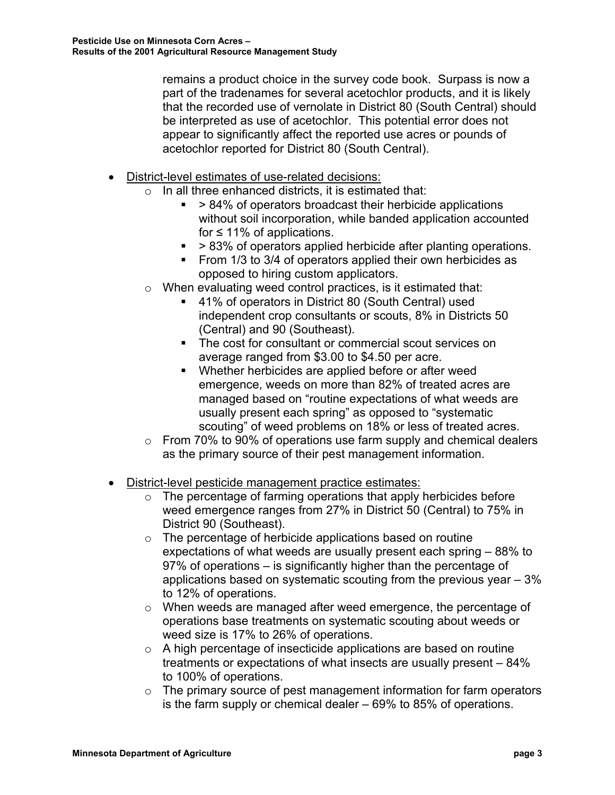remains a product choice in the survey code book. Surpass is now a part of the tradenames for several acetochlor products, and it is likely that the recorded use of vernolate in District 80 (South Central) should be interpreted as use of acetochlor. This potential error does not appear to significantly affect the reported use acres or pounds of acetochlor reported for District 80 (South Central).

- District-level estimates of use-related decisions:
	- $\circ$  In all three enhanced districts, it is estimated that:
		- ! > 84% of operators broadcast their herbicide applications without soil incorporation, while banded application accounted for  $\leq 11\%$  of applications.
		- $\approx$  > 83% of operators applied herbicide after planting operations.
		- ! From 1/3 to 3/4 of operators applied their own herbicides as opposed to hiring custom applicators.
	- o When evaluating weed control practices, is it estimated that:
		- ! 41% of operators in District 80 (South Central) used independent crop consultants or scouts, 8% in Districts 50 (Central) and 90 (Southeast).
		- ! The cost for consultant or commercial scout services on average ranged from \$3.00 to \$4.50 per acre.
		- ! Whether herbicides are applied before or after weed emergence, weeds on more than 82% of treated acres are managed based on "routine expectations of what weeds are usually present each spring" as opposed to "systematic" scouting" of weed problems on 18% or less of treated acres.
	- $\circ$  From 70% to 90% of operations use farm supply and chemical dealers as the primary source of their pest management information.
- District-level pesticide management practice estimates:
	- $\circ$  The percentage of farming operations that apply herbicides before weed emergence ranges from 27% in District 50 (Central) to 75% in District 90 (Southeast).
	- $\circ$  The percentage of herbicide applications based on routine expectations of what weeds are usually present each spring  $-88%$  to  $97\%$  of operations – is significantly higher than the percentage of applications based on systematic scouting from the previous year  $-3\%$ to 12% of operations.
	- o When weeds are managed after weed emergence, the percentage of operations base treatments on systematic scouting about weeds or weed size is 17% to 26% of operations.
	- $\circ$  A high percentage of insecticide applications are based on routine treatments or expectations of what insects are usually present  $-84%$ to 100% of operations.
	- o The primary source of pest management information for farm operators is the farm supply or chemical dealer  $-69\%$  to 85% of operations.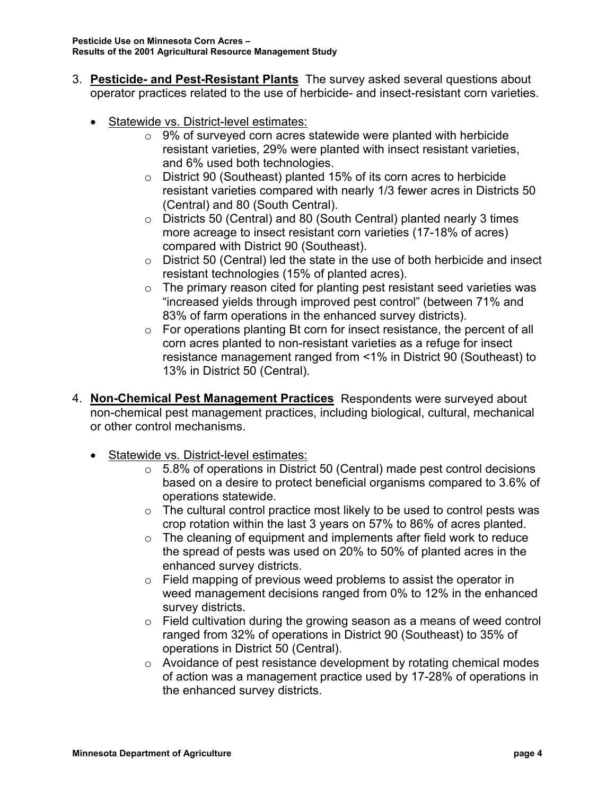- 3. **Pesticide- and Pest-Resistant Plants** The survey asked several questions about operator practices related to the use of herbicide- and insect-resistant corn varieties.
	- Statewide vs. District-level estimates:
		- $\circ$  9% of surveyed corn acres statewide were planted with herbicide resistant varieties, 29% were planted with insect resistant varieties, and 6% used both technologies.
		- o District 90 (Southeast) planted 15% of its corn acres to herbicide resistant varieties compared with nearly 1/3 fewer acres in Districts 50 (Central) and 80 (South Central).
		- o Districts 50 (Central) and 80 (South Central) planted nearly 3 times more acreage to insect resistant corn varieties (17-18% of acres) compared with District 90 (Southeast).
		- o District 50 (Central) led the state in the use of both herbicide and insect resistant technologies (15% of planted acres).
		- $\circ$  The primary reason cited for planting pest resistant seed varieties was "increased yields through improved pest control" (between 71% and 83% of farm operations in the enhanced survey districts).
		- $\circ$  For operations planting Bt corn for insect resistance, the percent of all corn acres planted to non-resistant varieties as a refuge for insect resistance management ranged from <1% in District 90 (Southeast) to 13% in District 50 (Central).
- 4. **Non-Chemical Pest Management Practices** Respondents were surveyed about non-chemical pest management practices, including biological, cultural, mechanical or other control mechanisms.
	- Statewide vs. District-level estimates:
		- o 5.8% of operations in District 50 (Central) made pest control decisions based on a desire to protect beneficial organisms compared to 3.6% of operations statewide.
		- $\circ$  The cultural control practice most likely to be used to control pests was crop rotation within the last 3 years on 57% to 86% of acres planted.
		- $\circ$  The cleaning of equipment and implements after field work to reduce the spread of pests was used on 20% to 50% of planted acres in the enhanced survey districts.
		- o Field mapping of previous weed problems to assist the operator in weed management decisions ranged from 0% to 12% in the enhanced survey districts.
		- $\circ$  Field cultivation during the growing season as a means of weed control ranged from 32% of operations in District 90 (Southeast) to 35% of operations in District 50 (Central).
		- o Avoidance of pest resistance development by rotating chemical modes of action was a management practice used by 17-28% of operations in the enhanced survey districts.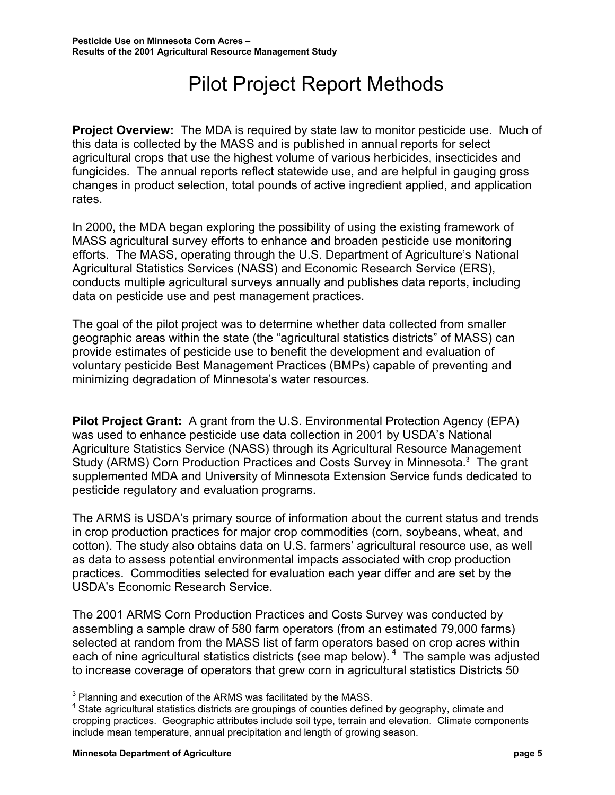## Pilot Project Report Methods

**Project Overview:** The MDA is required by state law to monitor pesticide use. Much of this data is collected by the MASS and is published in annual reports for select agricultural crops that use the highest volume of various herbicides, insecticides and fungicides. The annual reports reflect statewide use, and are helpful in gauging gross changes in product selection, total pounds of active ingredient applied, and application rates.

In 2000, the MDA began exploring the possibility of using the existing framework of MASS agricultural survey efforts to enhance and broaden pesticide use monitoring efforts. The MASS, operating through the U.S. Department of Agriculture's National Agricultural Statistics Services (NASS) and Economic Research Service (ERS), conducts multiple agricultural surveys annually and publishes data reports, including data on pesticide use and pest management practices.

The goal of the pilot project was to determine whether data collected from smaller geographic areas within the state (the "agricultural statistics districts" of MASS) can provide estimates of pesticide use to benefit the development and evaluation of voluntary pesticide Best Management Practices (BMPs) capable of preventing and minimizing degradation of Minnesota's water resources.

**Pilot Project Grant:** A grant from the U.S. Environmental Protection Agency (EPA) was used to enhance pesticide use data collection in 2001 by USDA's National Agriculture Statistics Service (NASS) through its Agricultural Resource Management Study (ARMS) Corn Production Practices and Costs Survey in Minnesota.<sup>3</sup> The grant supplemented MDA and University of Minnesota Extension Service funds dedicated to pesticide regulatory and evaluation programs.

The ARMS is USDAís primary source of information about the current status and trends in crop production practices for major crop commodities (corn, soybeans, wheat, and cotton). The study also obtains data on U.S. farmers' agricultural resource use, as well as data to assess potential environmental impacts associated with crop production practices. Commodities selected for evaluation each year differ and are set by the USDAís Economic Research Service.

The 2001 ARMS Corn Production Practices and Costs Survey was conducted by assembling a sample draw of 580 farm operators (from an estimated 79,000 farms) selected at random from the MASS list of farm operators based on crop acres within each of nine agricultural statistics districts (see map below).  $4$  The sample was adjusted to increase coverage of operators that grew corn in agricultural statistics Districts 50

 $\overline{a}$ 

 $3$  Planning and execution of the ARMS was facilitated by the MASS.<br> $4$  State agricultural statistics districts are groupings of counties defined by geography, climate and cropping practices. Geographic attributes include soil type, terrain and elevation. Climate components include mean temperature, annual precipitation and length of growing season.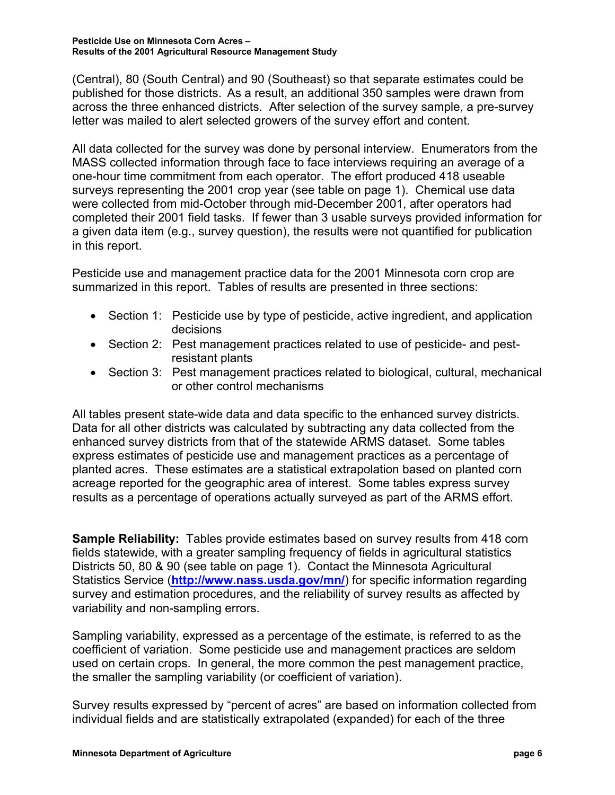#### **Pesticide Use on Minnesota Corn Acres -Results of the 2001 Agricultural Resource Management Study**

(Central), 80 (South Central) and 90 (Southeast) so that separate estimates could be published for those districts. As a result, an additional 350 samples were drawn from across the three enhanced districts. After selection of the survey sample, a pre-survey letter was mailed to alert selected growers of the survey effort and content.

All data collected for the survey was done by personal interview. Enumerators from the MASS collected information through face to face interviews requiring an average of a one-hour time commitment from each operator. The effort produced 418 useable surveys representing the 2001 crop year (see table on page 1). Chemical use data were collected from mid-October through mid-December 2001, after operators had completed their 2001 field tasks. If fewer than 3 usable surveys provided information for a given data item (e.g., survey question), the results were not quantified for publication in this report.

Pesticide use and management practice data for the 2001 Minnesota corn crop are summarized in this report. Tables of results are presented in three sections:

- Section 1: Pesticide use by type of pesticide, active ingredient, and application decisions
- Section 2: Pest management practices related to use of pesticide- and pestresistant plants
- Section 3: Pest management practices related to biological, cultural, mechanical or other control mechanisms

All tables present state-wide data and data specific to the enhanced survey districts. Data for all other districts was calculated by subtracting any data collected from the enhanced survey districts from that of the statewide ARMS dataset. Some tables express estimates of pesticide use and management practices as a percentage of planted acres. These estimates are a statistical extrapolation based on planted corn acreage reported for the geographic area of interest. Some tables express survey results as a percentage of operations actually surveyed as part of the ARMS effort.

**Sample Reliability:** Tables provide estimates based on survey results from 418 corn fields statewide, with a greater sampling frequency of fields in agricultural statistics Districts 50, 80 & 90 (see table on page 1). Contact the Minnesota Agricultural Statistics Service (**http://www.nass.usda.gov/mn/**) for specific information regarding survey and estimation procedures, and the reliability of survey results as affected by variability and non-sampling errors.

Sampling variability, expressed as a percentage of the estimate, is referred to as the coefficient of variation. Some pesticide use and management practices are seldom used on certain crops. In general, the more common the pest management practice, the smaller the sampling variability (or coefficient of variation).

Survey results expressed by "percent of acres" are based on information collected from individual fields and are statistically extrapolated (expanded) for each of the three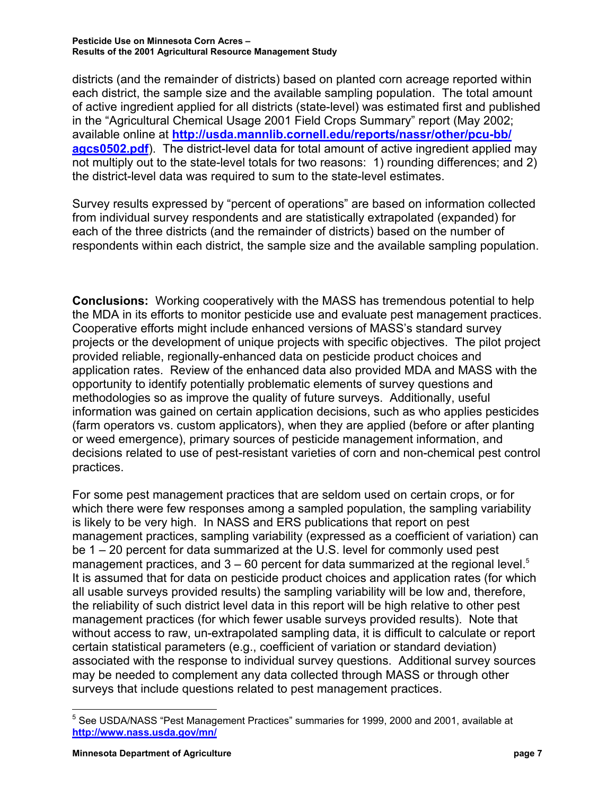#### **Pesticide Use on Minnesota Corn Acres -Results of the 2001 Agricultural Resource Management Study**

districts (and the remainder of districts) based on planted corn acreage reported within each district, the sample size and the available sampling population. The total amount of active ingredient applied for all districts (state-level) was estimated first and published in the "Agricultural Chemical Usage 2001 Field Crops Summary" report (May 2002; available online at **http://usda.mannlib.cornell.edu/reports/nassr/other/pcu-bb/ agcs0502.pdf**). The district-level data for total amount of active ingredient applied may not multiply out to the state-level totals for two reasons: 1) rounding differences; and 2) the district-level data was required to sum to the state-level estimates.

Survey results expressed by "percent of operations" are based on information collected from individual survey respondents and are statistically extrapolated (expanded) for each of the three districts (and the remainder of districts) based on the number of respondents within each district, the sample size and the available sampling population.

**Conclusions:** Working cooperatively with the MASS has tremendous potential to help the MDA in its efforts to monitor pesticide use and evaluate pest management practices. Cooperative efforts might include enhanced versions of MASS's standard survey projects or the development of unique projects with specific objectives. The pilot project provided reliable, regionally-enhanced data on pesticide product choices and application rates. Review of the enhanced data also provided MDA and MASS with the opportunity to identify potentially problematic elements of survey questions and methodologies so as improve the quality of future surveys. Additionally, useful information was gained on certain application decisions, such as who applies pesticides (farm operators vs. custom applicators), when they are applied (before or after planting or weed emergence), primary sources of pesticide management information, and decisions related to use of pest-resistant varieties of corn and non-chemical pest control practices.

For some pest management practices that are seldom used on certain crops, or for which there were few responses among a sampled population, the sampling variability is likely to be very high. In NASS and ERS publications that report on pest management practices, sampling variability (expressed as a coefficient of variation) can be  $1 - 20$  percent for data summarized at the U.S. level for commonly used pest management practices, and  $3 - 60$  percent for data summarized at the regional level.<sup>5</sup> It is assumed that for data on pesticide product choices and application rates (for which all usable surveys provided results) the sampling variability will be low and, therefore, the reliability of such district level data in this report will be high relative to other pest management practices (for which fewer usable surveys provided results). Note that without access to raw, un-extrapolated sampling data, it is difficult to calculate or report certain statistical parameters (e.g., coefficient of variation or standard deviation) associated with the response to individual survey questions. Additional survey sources may be needed to complement any data collected through MASS or through other surveys that include questions related to pest management practices.

1

<sup>&</sup>lt;sup>5</sup> See USDA/NASS "Pest Management Practices" summaries for 1999, 2000 and 2001, available at **http://www.nass.usda.gov/mn/**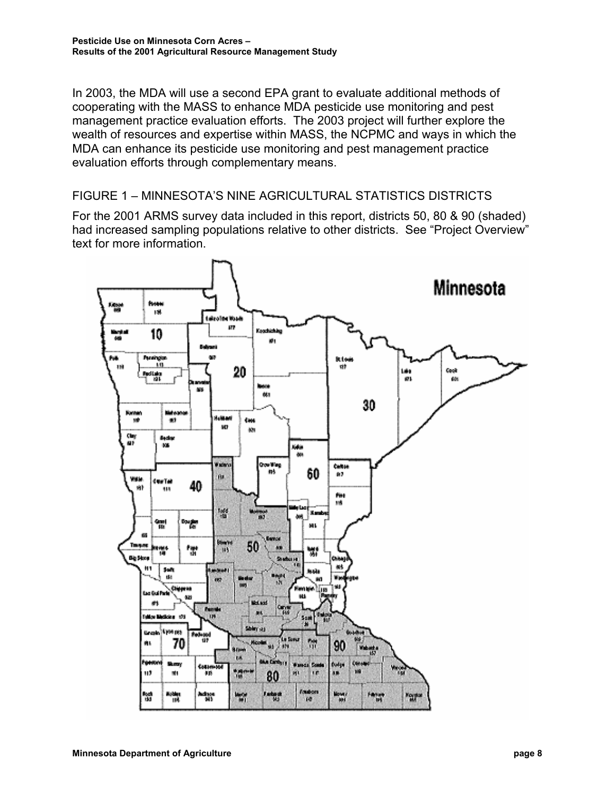In 2003, the MDA will use a second EPA grant to evaluate additional methods of cooperating with the MASS to enhance MDA pesticide use monitoring and pest management practice evaluation efforts. The 2003 project will further explore the wealth of resources and expertise within MASS, the NCPMC and ways in which the MDA can enhance its pesticide use monitoring and pest management practice evaluation efforts through complementary means.

#### FIGURE 1 - MINNESOTA'S NINE AGRICULTURAL STATISTICS DISTRICTS

For the 2001 ARMS survey data included in this report, districts 50, 80 & 90 (shaded) had increased sampling populations relative to other districts. See "Project Overview" text for more information.

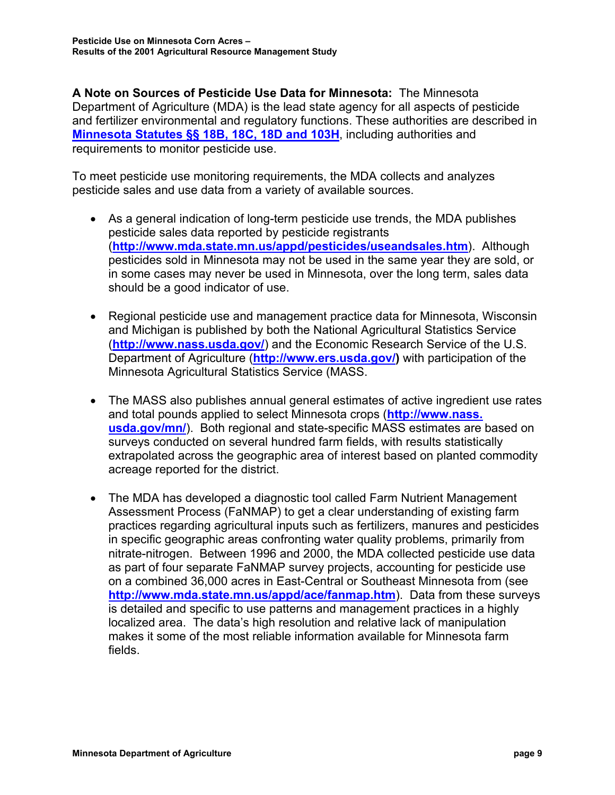**A Note on Sources of Pesticide Use Data for Minnesota:** The Minnesota Department of Agriculture (MDA) is the lead state agency for all aspects of pesticide and fertilizer environmental and regulatory functions. These authorities are described in **Minnesota Statutes ßß 18B, 18C, 18D and 103H**, including authorities and requirements to monitor pesticide use.

To meet pesticide use monitoring requirements, the MDA collects and analyzes pesticide sales and use data from a variety of available sources.

- As a general indication of long-term pesticide use trends, the MDA publishes pesticide sales data reported by pesticide registrants (**http://www.mda.state.mn.us/appd/pesticides/useandsales.htm**). Although pesticides sold in Minnesota may not be used in the same year they are sold, or in some cases may never be used in Minnesota, over the long term, sales data should be a good indicator of use.
- Regional pesticide use and management practice data for Minnesota, Wisconsin and Michigan is published by both the National Agricultural Statistics Service (**http://www.nass.usda.gov/**) and the Economic Research Service of the U.S. Department of Agriculture (**http://www.ers.usda.gov/)** with participation of the Minnesota Agricultural Statistics Service (MASS.
- The MASS also publishes annual general estimates of active ingredient use rates and total pounds applied to select Minnesota crops (**http://www.nass. usda.gov/mn/**). Both regional and state-specific MASS estimates are based on surveys conducted on several hundred farm fields, with results statistically extrapolated across the geographic area of interest based on planted commodity acreage reported for the district.
- The MDA has developed a diagnostic tool called Farm Nutrient Management Assessment Process (FaNMAP) to get a clear understanding of existing farm practices regarding agricultural inputs such as fertilizers, manures and pesticides in specific geographic areas confronting water quality problems, primarily from nitrate-nitrogen. Between 1996 and 2000, the MDA collected pesticide use data as part of four separate FaNMAP survey projects, accounting for pesticide use on a combined 36,000 acres in East-Central or Southeast Minnesota from (see **http://www.mda.state.mn.us/appd/ace/fanmap.htm**). Data from these surveys is detailed and specific to use patterns and management practices in a highly localized area. The data's high resolution and relative lack of manipulation makes it some of the most reliable information available for Minnesota farm fields.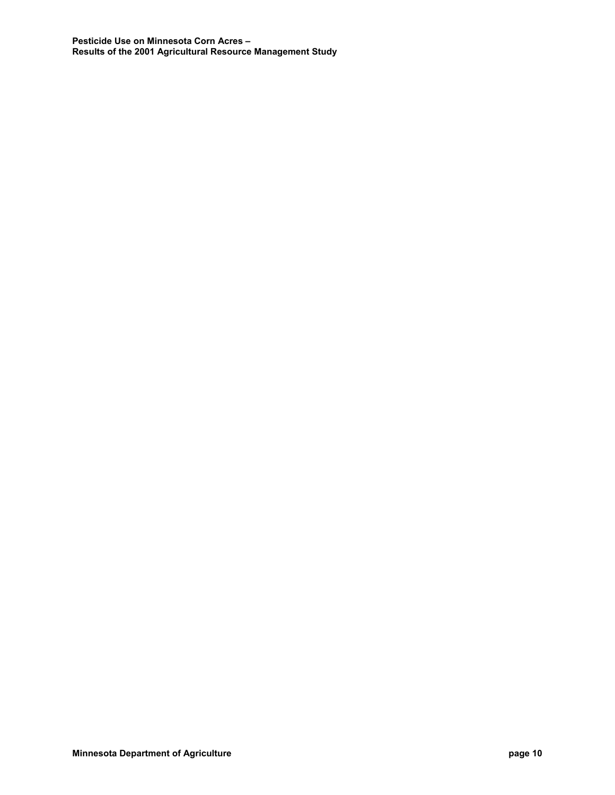**Pesticide Use on Minnesota Corn Acres -Results of the 2001 Agricultural Resource Management Study**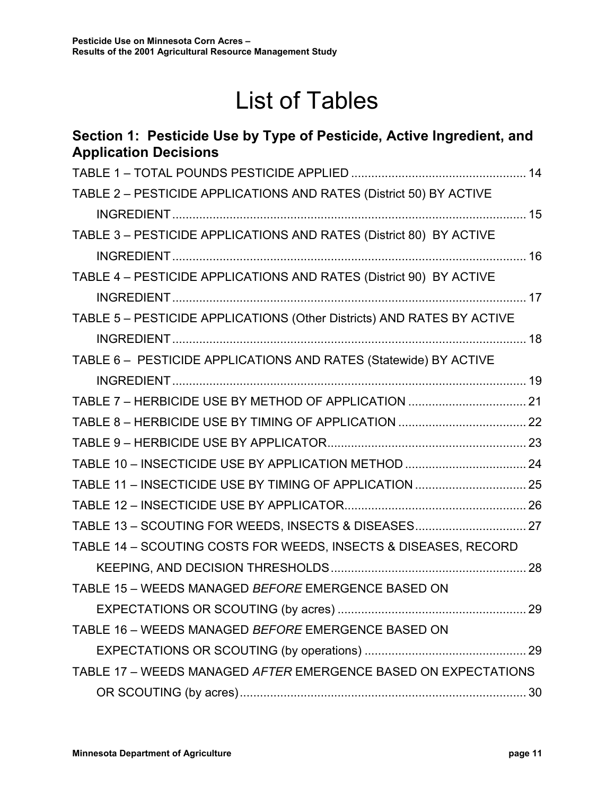# List of Tables

| Section 1: Pesticide Use by Type of Pesticide, Active Ingredient, and<br><b>Application Decisions</b> |  |
|-------------------------------------------------------------------------------------------------------|--|
|                                                                                                       |  |
| TABLE 2 - PESTICIDE APPLICATIONS AND RATES (District 50) BY ACTIVE                                    |  |
|                                                                                                       |  |
| TABLE 3 - PESTICIDE APPLICATIONS AND RATES (District 80) BY ACTIVE                                    |  |
|                                                                                                       |  |
| TABLE 4 - PESTICIDE APPLICATIONS AND RATES (District 90) BY ACTIVE                                    |  |
|                                                                                                       |  |
| TABLE 5 - PESTICIDE APPLICATIONS (Other Districts) AND RATES BY ACTIVE                                |  |
|                                                                                                       |  |
| TABLE 6 - PESTICIDE APPLICATIONS AND RATES (Statewide) BY ACTIVE                                      |  |
|                                                                                                       |  |
|                                                                                                       |  |
|                                                                                                       |  |
|                                                                                                       |  |
|                                                                                                       |  |
|                                                                                                       |  |
|                                                                                                       |  |
| TABLE 13 - SCOUTING FOR WEEDS, INSECTS & DISEASES 27                                                  |  |
| TABLE 14 - SCOUTING COSTS FOR WEEDS, INSECTS & DISEASES, RECORD                                       |  |
|                                                                                                       |  |
| TABLE 15 - WEEDS MANAGED BEFORE EMERGENCE BASED ON                                                    |  |
|                                                                                                       |  |
| TABLE 16 - WEEDS MANAGED BEFORE EMERGENCE BASED ON                                                    |  |
|                                                                                                       |  |
| TABLE 17 - WEEDS MANAGED AFTER EMERGENCE BASED ON EXPECTATIONS                                        |  |
|                                                                                                       |  |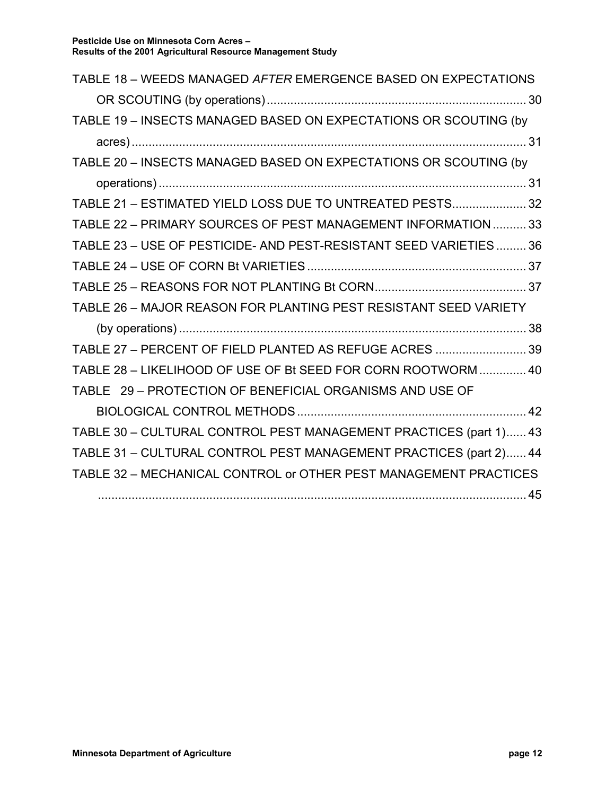| TABLE 18 - WEEDS MANAGED AFTER EMERGENCE BASED ON EXPECTATIONS     |
|--------------------------------------------------------------------|
|                                                                    |
| TABLE 19 - INSECTS MANAGED BASED ON EXPECTATIONS OR SCOUTING (by   |
|                                                                    |
| TABLE 20 - INSECTS MANAGED BASED ON EXPECTATIONS OR SCOUTING (by   |
|                                                                    |
| TABLE 21 - ESTIMATED YIELD LOSS DUE TO UNTREATED PESTS 32          |
| TABLE 22 - PRIMARY SOURCES OF PEST MANAGEMENT INFORMATION  33      |
| TABLE 23 - USE OF PESTICIDE- AND PEST-RESISTANT SEED VARIETIES  36 |
|                                                                    |
|                                                                    |
| TABLE 26 - MAJOR REASON FOR PLANTING PEST RESISTANT SEED VARIETY   |
|                                                                    |
| TABLE 27 - PERCENT OF FIELD PLANTED AS REFUGE ACRES  39            |
| TABLE 28 - LIKELIHOOD OF USE OF Bt SEED FOR CORN ROOTWORM 40       |
| TABLE 29 - PROTECTION OF BENEFICIAL ORGANISMS AND USE OF           |
|                                                                    |
| TABLE 30 - CULTURAL CONTROL PEST MANAGEMENT PRACTICES (part 1) 43  |
| TABLE 31 - CULTURAL CONTROL PEST MANAGEMENT PRACTICES (part 2) 44  |
| TABLE 32 - MECHANICAL CONTROL or OTHER PEST MANAGEMENT PRACTICES   |
|                                                                    |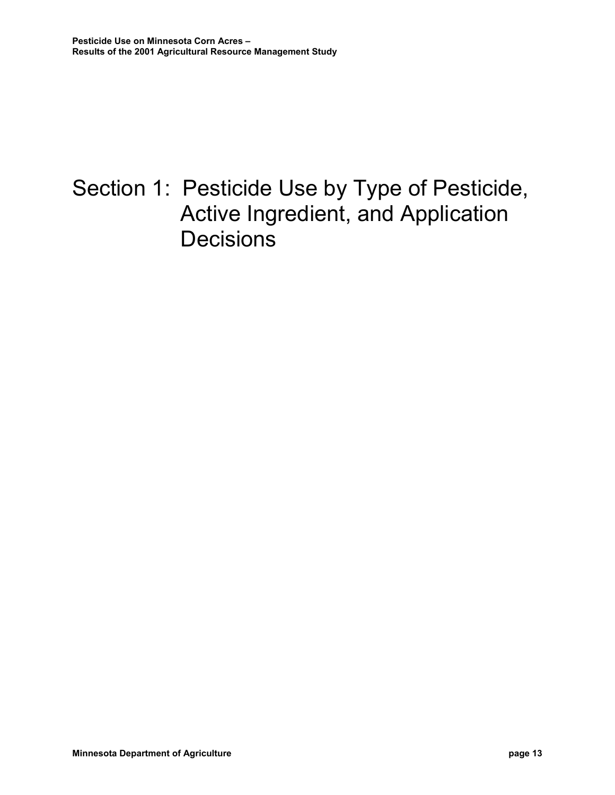# Section 1: Pesticide Use by Type of Pesticide, Active Ingredient, and Application **Decisions**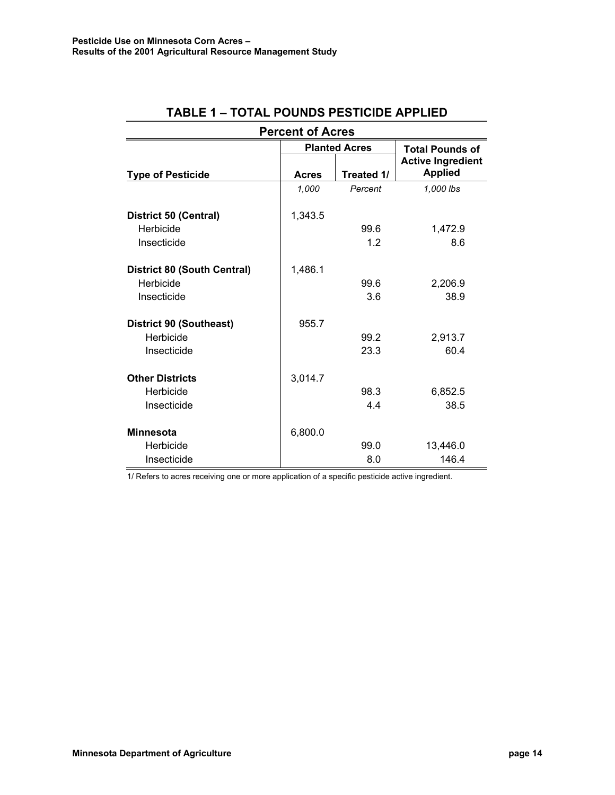| <b>Percent of Acres</b>            |              |                      |                                            |  |  |  |  |
|------------------------------------|--------------|----------------------|--------------------------------------------|--|--|--|--|
|                                    |              | <b>Planted Acres</b> | <b>Total Pounds of</b>                     |  |  |  |  |
| <b>Type of Pesticide</b>           | <b>Acres</b> | Treated 1/           | <b>Active Ingredient</b><br><b>Applied</b> |  |  |  |  |
|                                    | 1,000        | Percent              | 1,000 lbs                                  |  |  |  |  |
| District 50 (Central)              | 1,343.5      |                      |                                            |  |  |  |  |
| Herbicide                          |              | 99.6                 | 1,472.9                                    |  |  |  |  |
| Insecticide                        |              | 1.2                  | 8.6                                        |  |  |  |  |
| <b>District 80 (South Central)</b> | 1,486.1      |                      |                                            |  |  |  |  |
| Herbicide                          |              | 99.6                 | 2,206.9                                    |  |  |  |  |
| Insecticide                        |              | 3.6                  | 38.9                                       |  |  |  |  |
| <b>District 90 (Southeast)</b>     | 955.7        |                      |                                            |  |  |  |  |
| Herbicide                          |              | 99.2                 | 2,913.7                                    |  |  |  |  |
| Insecticide                        |              | 23.3                 | 60.4                                       |  |  |  |  |
| <b>Other Districts</b>             | 3,014.7      |                      |                                            |  |  |  |  |
| Herbicide                          |              | 98.3                 | 6,852.5                                    |  |  |  |  |
| Insecticide                        |              | 4.4                  | 38.5                                       |  |  |  |  |
| <b>Minnesota</b>                   | 6,800.0      |                      |                                            |  |  |  |  |
| Herbicide                          |              | 99.0                 | 13,446.0                                   |  |  |  |  |
| Insecticide                        |              | 8.0                  | 146.4                                      |  |  |  |  |

#### **TABLE 1 ñ TOTAL POUNDS PESTICIDE APPLIED**

1/ Refers to acres receiving one or more application of a specific pesticide active ingredient.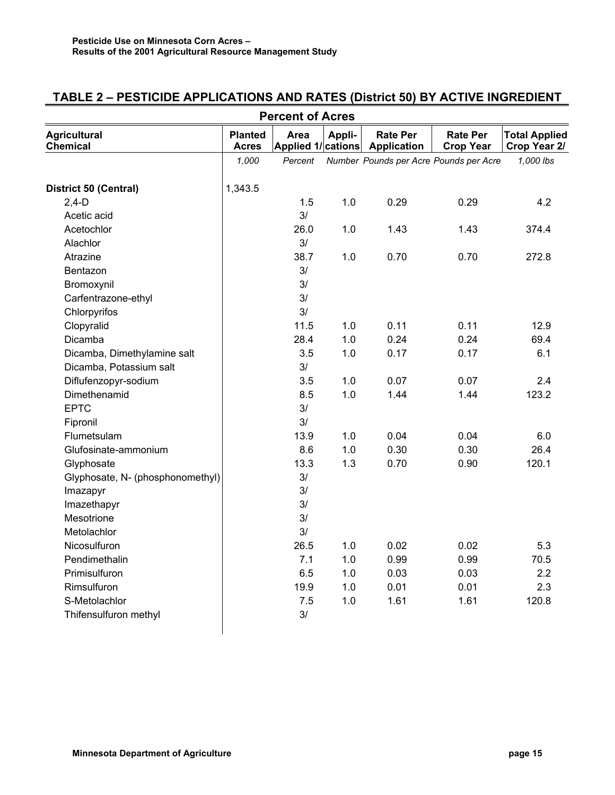|                                        | <b>Percent of Acres</b>        |                           |        |                                       |                                        |                                      |  |  |  |
|----------------------------------------|--------------------------------|---------------------------|--------|---------------------------------------|----------------------------------------|--------------------------------------|--|--|--|
| <b>Agricultural</b><br><b>Chemical</b> | <b>Planted</b><br><b>Acres</b> | Area<br>Applied 1/cations | Appli- | <b>Rate Per</b><br><b>Application</b> | <b>Rate Per</b><br><b>Crop Year</b>    | <b>Total Applied</b><br>Crop Year 2/ |  |  |  |
|                                        | 1,000                          | Percent                   |        |                                       | Number Pounds per Acre Pounds per Acre | 1,000 lbs                            |  |  |  |
| <b>District 50 (Central)</b>           | 1,343.5                        |                           |        |                                       |                                        |                                      |  |  |  |
| $2,4-D$                                |                                | 1.5                       | 1.0    | 0.29                                  | 0.29                                   | 4.2                                  |  |  |  |
| Acetic acid                            |                                | 3/                        |        |                                       |                                        |                                      |  |  |  |
| Acetochlor                             |                                | 26.0                      | 1.0    | 1.43                                  | 1.43                                   | 374.4                                |  |  |  |
| Alachlor                               |                                | 3/                        |        |                                       |                                        |                                      |  |  |  |
| Atrazine                               |                                | 38.7                      | 1.0    | 0.70                                  | 0.70                                   | 272.8                                |  |  |  |
| Bentazon                               |                                | 3/                        |        |                                       |                                        |                                      |  |  |  |
| Bromoxynil                             |                                | 3/                        |        |                                       |                                        |                                      |  |  |  |
| Carfentrazone-ethyl                    |                                | 3/                        |        |                                       |                                        |                                      |  |  |  |
| Chlorpyrifos                           |                                | 3/                        |        |                                       |                                        |                                      |  |  |  |
| Clopyralid                             |                                | 11.5                      | 1.0    | 0.11                                  | 0.11                                   | 12.9                                 |  |  |  |
| Dicamba                                |                                | 28.4                      | 1.0    | 0.24                                  | 0.24                                   | 69.4                                 |  |  |  |
| Dicamba, Dimethylamine salt            |                                | 3.5                       | 1.0    | 0.17                                  | 0.17                                   | 6.1                                  |  |  |  |
| Dicamba, Potassium salt                |                                | 3/                        |        |                                       |                                        |                                      |  |  |  |
| Diflufenzopyr-sodium                   |                                | 3.5                       | 1.0    | 0.07                                  | 0.07                                   | 2.4                                  |  |  |  |
| Dimethenamid                           |                                | 8.5                       | 1.0    | 1.44                                  | 1.44                                   | 123.2                                |  |  |  |
| <b>EPTC</b>                            |                                | 3/                        |        |                                       |                                        |                                      |  |  |  |
| Fipronil                               |                                | 3/                        |        |                                       |                                        |                                      |  |  |  |
| Flumetsulam                            |                                | 13.9                      | 1.0    | 0.04                                  | 0.04                                   | 6.0                                  |  |  |  |
| Glufosinate-ammonium                   |                                | 8.6                       | 1.0    | 0.30                                  | 0.30                                   | 26.4                                 |  |  |  |
| Glyphosate                             |                                | 13.3                      | 1.3    | 0.70                                  | 0.90                                   | 120.1                                |  |  |  |
| Glyphosate, N- (phosphonomethyl)       |                                | 3/                        |        |                                       |                                        |                                      |  |  |  |
| Imazapyr                               |                                | 3/                        |        |                                       |                                        |                                      |  |  |  |
| Imazethapyr                            |                                | 3/                        |        |                                       |                                        |                                      |  |  |  |
| Mesotrione                             |                                | 3/                        |        |                                       |                                        |                                      |  |  |  |
| Metolachlor                            |                                | 3/                        |        |                                       |                                        |                                      |  |  |  |
| Nicosulfuron                           |                                | 26.5                      | 1.0    | 0.02                                  | 0.02                                   | 5.3                                  |  |  |  |
| Pendimethalin                          |                                | 7.1                       | 1.0    | 0.99                                  | 0.99                                   | 70.5                                 |  |  |  |
| Primisulfuron                          |                                | 6.5                       | 1.0    | 0.03                                  | 0.03                                   | 2.2                                  |  |  |  |
| Rimsulfuron                            |                                | 19.9                      | 1.0    | 0.01                                  | 0.01                                   | 2.3                                  |  |  |  |
| S-Metolachlor                          |                                | 7.5                       | 1.0    | 1.61                                  | 1.61                                   | 120.8                                |  |  |  |
| Thifensulfuron methyl                  |                                | 3/                        |        |                                       |                                        |                                      |  |  |  |

#### **TABLE 2 - PESTICIDE APPLICATIONS AND RATES (District 50) BY ACTIVE INGREDIENT**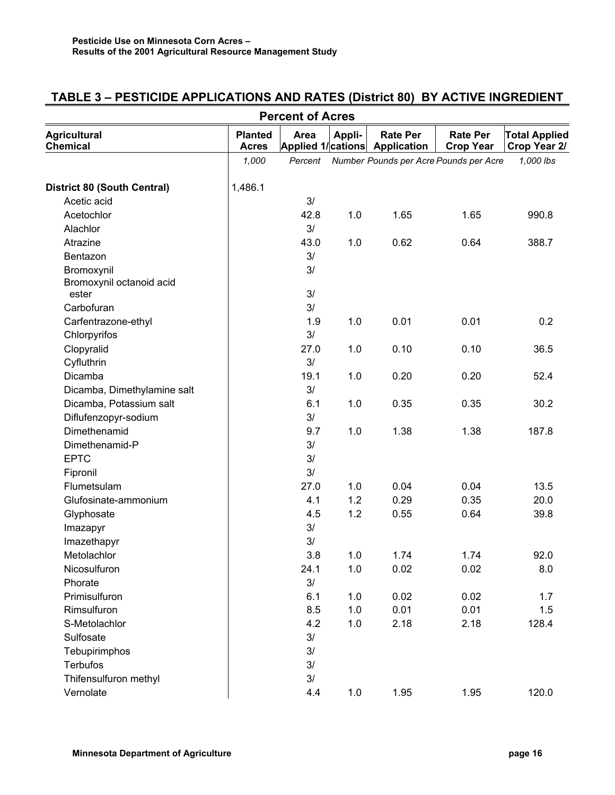| <b>Percent of Acres</b>                |                                |         |        |                                                  |                                        |                                      |  |
|----------------------------------------|--------------------------------|---------|--------|--------------------------------------------------|----------------------------------------|--------------------------------------|--|
| <b>Agricultural</b><br><b>Chemical</b> | <b>Planted</b><br><b>Acres</b> | Area    | Appli- | <b>Rate Per</b><br>Applied 1/cations Application | <b>Rate Per</b><br><b>Crop Year</b>    | <b>Total Applied</b><br>Crop Year 2/ |  |
|                                        | 1,000                          | Percent |        |                                                  | Number Pounds per Acre Pounds per Acre | 1,000 lbs                            |  |
| <b>District 80 (South Central)</b>     | 1,486.1                        |         |        |                                                  |                                        |                                      |  |
| Acetic acid                            |                                | 3/      |        |                                                  |                                        |                                      |  |
| Acetochlor                             |                                | 42.8    | 1.0    | 1.65                                             | 1.65                                   | 990.8                                |  |
| Alachlor                               |                                | 3/      |        |                                                  |                                        |                                      |  |
| Atrazine                               |                                | 43.0    | 1.0    | 0.62                                             | 0.64                                   | 388.7                                |  |
| Bentazon                               |                                | 3/      |        |                                                  |                                        |                                      |  |
| Bromoxynil                             |                                | 3/      |        |                                                  |                                        |                                      |  |
| Bromoxynil octanoid acid               |                                |         |        |                                                  |                                        |                                      |  |
| ester                                  |                                | 3/      |        |                                                  |                                        |                                      |  |
| Carbofuran                             |                                | 3/      |        |                                                  |                                        |                                      |  |
| Carfentrazone-ethyl                    |                                | 1.9     | 1.0    | 0.01                                             | 0.01                                   | 0.2                                  |  |
| Chlorpyrifos                           |                                | 3/      |        |                                                  |                                        |                                      |  |
| Clopyralid                             |                                | 27.0    | 1.0    | 0.10                                             | 0.10                                   | 36.5                                 |  |
| Cyfluthrin                             |                                | 3/      |        |                                                  |                                        |                                      |  |
| Dicamba                                |                                | 19.1    | 1.0    | 0.20                                             | 0.20                                   | 52.4                                 |  |
| Dicamba, Dimethylamine salt            |                                | 3/      |        |                                                  |                                        |                                      |  |
| Dicamba, Potassium salt                |                                | 6.1     | 1.0    | 0.35                                             | 0.35                                   | 30.2                                 |  |
| Diflufenzopyr-sodium                   |                                | 3/      |        |                                                  |                                        |                                      |  |
| Dimethenamid                           |                                | 9.7     | 1.0    | 1.38                                             | 1.38                                   | 187.8                                |  |
| Dimethenamid-P                         |                                | 3/      |        |                                                  |                                        |                                      |  |
| <b>EPTC</b>                            |                                | 3/      |        |                                                  |                                        |                                      |  |
| Fipronil                               |                                | 3/      |        |                                                  |                                        |                                      |  |
| Flumetsulam                            |                                | 27.0    | 1.0    | 0.04                                             | 0.04                                   | 13.5                                 |  |
| Glufosinate-ammonium                   |                                | 4.1     | 1.2    | 0.29                                             | 0.35                                   | 20.0                                 |  |
| Glyphosate                             |                                | 4.5     | 1.2    | 0.55                                             | 0.64                                   | 39.8                                 |  |
| Imazapyr                               |                                | 3/      |        |                                                  |                                        |                                      |  |
| Imazethapyr                            |                                | 3/      |        |                                                  |                                        |                                      |  |
| Metolachlor                            |                                | 3.8     | 1.0    | 1.74                                             | 1.74                                   | 92.0                                 |  |
| Nicosulfuron                           |                                | 24.1    | 1.0    | 0.02                                             | 0.02                                   | 8.0                                  |  |
| Phorate                                |                                | 3/      |        |                                                  |                                        |                                      |  |
| Primisulfuron                          |                                | 6.1     | 1.0    | 0.02                                             | 0.02                                   | 1.7                                  |  |
| Rimsulfuron                            |                                | 8.5     | 1.0    | 0.01                                             | 0.01                                   | 1.5                                  |  |
| S-Metolachlor                          |                                | 4.2     | 1.0    | 2.18                                             | 2.18                                   | 128.4                                |  |
| Sulfosate                              |                                | 3/      |        |                                                  |                                        |                                      |  |
| Tebupirimphos                          |                                | 3/      |        |                                                  |                                        |                                      |  |
| Terbufos                               |                                | 3/      |        |                                                  |                                        |                                      |  |
| Thifensulfuron methyl                  |                                | 3/      |        |                                                  |                                        |                                      |  |
| Vernolate                              |                                | 4.4     | 1.0    | 1.95                                             | 1.95                                   | 120.0                                |  |

#### **TABLE 3 - PESTICIDE APPLICATIONS AND RATES (District 80) BY ACTIVE INGREDIENT**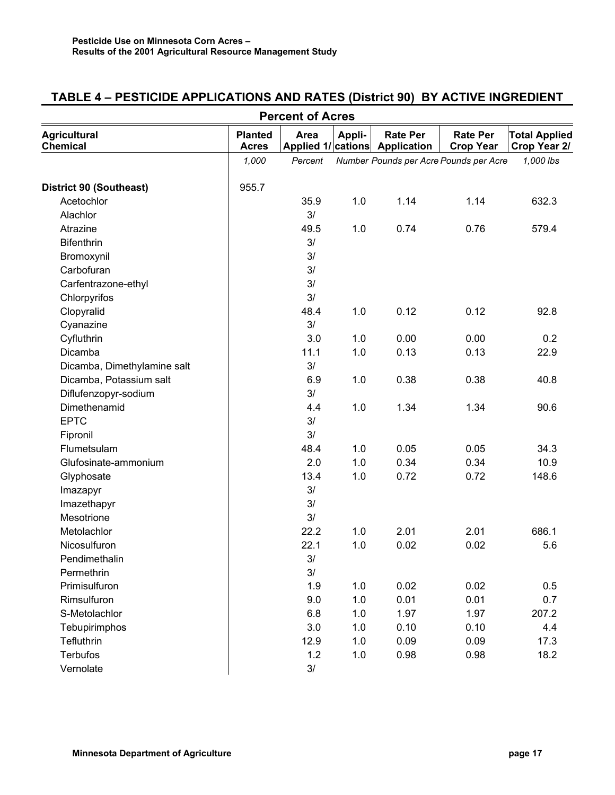| <b>Percent of Acres</b>                |                                |                            |        |                                       |                                        |                                      |  |
|----------------------------------------|--------------------------------|----------------------------|--------|---------------------------------------|----------------------------------------|--------------------------------------|--|
| <b>Agricultural</b><br><b>Chemical</b> | <b>Planted</b><br><b>Acres</b> | Area<br>Applied 1/ cations | Appli- | <b>Rate Per</b><br><b>Application</b> | <b>Rate Per</b><br><b>Crop Year</b>    | <b>Total Applied</b><br>Crop Year 2/ |  |
|                                        | 1,000                          | Percent                    |        |                                       | Number Pounds per Acre Pounds per Acre | 1,000 lbs                            |  |
| <b>District 90 (Southeast)</b>         | 955.7                          |                            |        |                                       |                                        |                                      |  |
| Acetochlor                             |                                | 35.9                       | 1.0    | 1.14                                  | 1.14                                   | 632.3                                |  |
| Alachlor                               |                                | 3/                         |        |                                       |                                        |                                      |  |
| Atrazine                               |                                | 49.5                       | 1.0    | 0.74                                  | 0.76                                   | 579.4                                |  |
| <b>Bifenthrin</b>                      |                                | 3/                         |        |                                       |                                        |                                      |  |
| Bromoxynil                             |                                | 3/                         |        |                                       |                                        |                                      |  |
| Carbofuran                             |                                | 3/                         |        |                                       |                                        |                                      |  |
| Carfentrazone-ethyl                    |                                | 3/                         |        |                                       |                                        |                                      |  |
| Chlorpyrifos                           |                                | 3/                         |        |                                       |                                        |                                      |  |
| Clopyralid                             |                                | 48.4                       | 1.0    | 0.12                                  | 0.12                                   | 92.8                                 |  |
| Cyanazine                              |                                | 3/                         |        |                                       |                                        |                                      |  |
| Cyfluthrin                             |                                | 3.0                        | 1.0    | 0.00                                  | 0.00                                   | 0.2                                  |  |
| Dicamba                                |                                | 11.1                       | 1.0    | 0.13                                  | 0.13                                   | 22.9                                 |  |
| Dicamba, Dimethylamine salt            |                                | 3/                         |        |                                       |                                        |                                      |  |
| Dicamba, Potassium salt                |                                | 6.9                        | 1.0    | 0.38                                  | 0.38                                   | 40.8                                 |  |
| Diflufenzopyr-sodium                   |                                | 3/                         |        |                                       |                                        |                                      |  |
| Dimethenamid                           |                                | 4.4                        | 1.0    | 1.34                                  | 1.34                                   | 90.6                                 |  |
| <b>EPTC</b>                            |                                | 3/                         |        |                                       |                                        |                                      |  |
| Fipronil                               |                                | 3/                         |        |                                       |                                        |                                      |  |
| Flumetsulam                            |                                | 48.4                       | 1.0    | 0.05                                  | 0.05                                   | 34.3                                 |  |
| Glufosinate-ammonium                   |                                | 2.0                        | 1.0    | 0.34                                  | 0.34                                   | 10.9                                 |  |
| Glyphosate                             |                                | 13.4                       | 1.0    | 0.72                                  | 0.72                                   | 148.6                                |  |
| Imazapyr                               |                                | 3/                         |        |                                       |                                        |                                      |  |
| Imazethapyr                            |                                | 3/                         |        |                                       |                                        |                                      |  |
| Mesotrione                             |                                | 3/                         |        |                                       |                                        |                                      |  |
| Metolachlor                            |                                | 22.2                       | 1.0    | 2.01                                  | 2.01                                   | 686.1                                |  |
| Nicosulfuron                           |                                | 22.1                       | 1.0    | 0.02                                  | 0.02                                   | 5.6                                  |  |
| Pendimethalin                          |                                | 3/                         |        |                                       |                                        |                                      |  |
| Permethrin                             |                                | 3/                         |        |                                       |                                        |                                      |  |
| Primisulfuron                          |                                | 1.9                        | 1.0    | 0.02                                  | 0.02                                   | 0.5                                  |  |
| Rimsulfuron                            |                                | 9.0                        | 1.0    | 0.01                                  | 0.01                                   | 0.7                                  |  |
| S-Metolachlor                          |                                | 6.8                        | 1.0    | 1.97                                  | 1.97                                   | 207.2                                |  |
| Tebupirimphos                          |                                | 3.0                        | 1.0    | 0.10                                  | 0.10                                   | 4.4                                  |  |
| Tefluthrin                             |                                | 12.9                       | 1.0    | 0.09                                  | 0.09                                   | 17.3                                 |  |
| Terbufos                               |                                | 1.2                        | 1.0    | 0.98                                  | 0.98                                   | 18.2                                 |  |
| Vernolate                              |                                | 3/                         |        |                                       |                                        |                                      |  |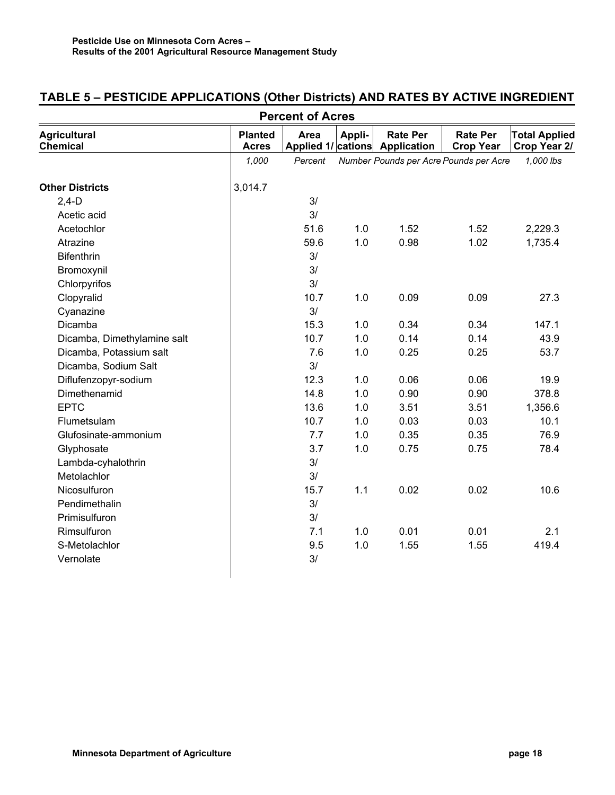| <b>Percent of Acres</b>                |                                |         |        |                                                   |                                     |                                      |  |
|----------------------------------------|--------------------------------|---------|--------|---------------------------------------------------|-------------------------------------|--------------------------------------|--|
| <b>Agricultural</b><br><b>Chemical</b> | <b>Planted</b><br><b>Acres</b> | Area    | Appli- | <b>Rate Per</b><br>Applied 1/ cations Application | <b>Rate Per</b><br><b>Crop Year</b> | <b>Total Applied</b><br>Crop Year 2/ |  |
|                                        | 1,000                          | Percent |        | Number Pounds per Acre Pounds per Acre            |                                     | 1,000 lbs                            |  |
| <b>Other Districts</b>                 | 3,014.7                        |         |        |                                                   |                                     |                                      |  |
| $2,4-D$                                |                                | 3/      |        |                                                   |                                     |                                      |  |
| Acetic acid                            |                                | 3/      |        |                                                   |                                     |                                      |  |
| Acetochlor                             |                                | 51.6    | 1.0    | 1.52                                              | 1.52                                | 2,229.3                              |  |
| Atrazine                               |                                | 59.6    | 1.0    | 0.98                                              | 1.02                                | 1,735.4                              |  |
| <b>Bifenthrin</b>                      |                                | 3/      |        |                                                   |                                     |                                      |  |
| Bromoxynil                             |                                | 3/      |        |                                                   |                                     |                                      |  |
| Chlorpyrifos                           |                                | 3/      |        |                                                   |                                     |                                      |  |
| Clopyralid                             |                                | 10.7    | 1.0    | 0.09                                              | 0.09                                | 27.3                                 |  |
| Cyanazine                              |                                | 3/      |        |                                                   |                                     |                                      |  |
| Dicamba                                |                                | 15.3    | 1.0    | 0.34                                              | 0.34                                | 147.1                                |  |
| Dicamba, Dimethylamine salt            |                                | 10.7    | 1.0    | 0.14                                              | 0.14                                | 43.9                                 |  |
| Dicamba, Potassium salt                |                                | 7.6     | 1.0    | 0.25                                              | 0.25                                | 53.7                                 |  |
| Dicamba, Sodium Salt                   |                                | 3/      |        |                                                   |                                     |                                      |  |
| Diflufenzopyr-sodium                   |                                | 12.3    | 1.0    | 0.06                                              | 0.06                                | 19.9                                 |  |
| Dimethenamid                           |                                | 14.8    | 1.0    | 0.90                                              | 0.90                                | 378.8                                |  |
| <b>EPTC</b>                            |                                | 13.6    | 1.0    | 3.51                                              | 3.51                                | 1,356.6                              |  |
| Flumetsulam                            |                                | 10.7    | 1.0    | 0.03                                              | 0.03                                | 10.1                                 |  |
| Glufosinate-ammonium                   |                                | 7.7     | 1.0    | 0.35                                              | 0.35                                | 76.9                                 |  |
| Glyphosate                             |                                | 3.7     | 1.0    | 0.75                                              | 0.75                                | 78.4                                 |  |
| Lambda-cyhalothrin                     |                                | 3/      |        |                                                   |                                     |                                      |  |
| Metolachlor                            |                                | 3/      |        |                                                   |                                     |                                      |  |
| Nicosulfuron                           |                                | 15.7    | 1.1    | 0.02                                              | 0.02                                | 10.6                                 |  |
| Pendimethalin                          |                                | 3/      |        |                                                   |                                     |                                      |  |
| Primisulfuron                          |                                | 3/      |        |                                                   |                                     |                                      |  |
| Rimsulfuron                            |                                | 7.1     | 1.0    | 0.01                                              | 0.01                                | 2.1                                  |  |
| S-Metolachlor                          |                                | 9.5     | 1.0    | 1.55                                              | 1.55                                | 419.4                                |  |
| Vernolate                              |                                | 3/      |        |                                                   |                                     |                                      |  |

#### **TABLE 5 - PESTICIDE APPLICATIONS (Other Districts) AND RATES BY ACTIVE INGREDIENT**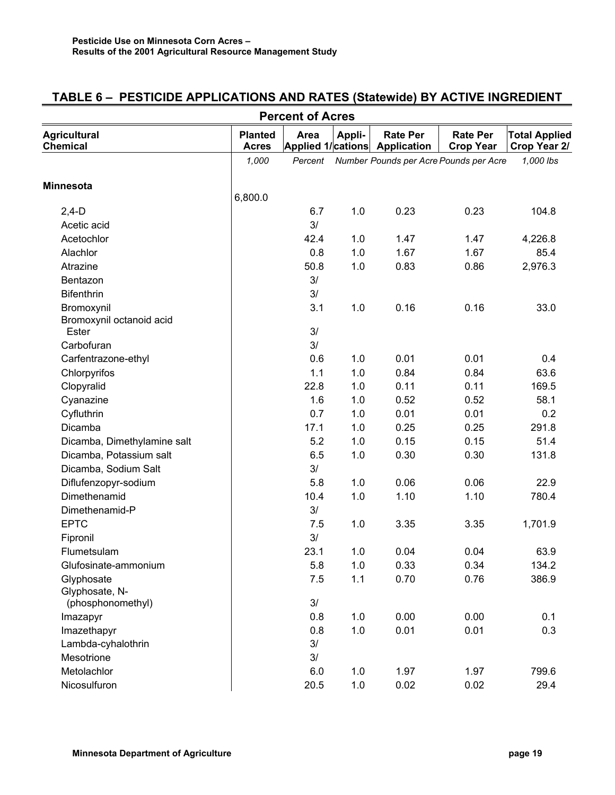|                                                 |                                |                           |        | <b>Percent of Acres</b>                |                                     |                                      |  |  |  |  |
|-------------------------------------------------|--------------------------------|---------------------------|--------|----------------------------------------|-------------------------------------|--------------------------------------|--|--|--|--|
| <b>Agricultural</b><br><b>Chemical</b>          | <b>Planted</b><br><b>Acres</b> | Area<br>Applied 1/cations | Appli- | <b>Rate Per</b><br><b>Application</b>  | <b>Rate Per</b><br><b>Crop Year</b> | <b>Total Applied</b><br>Crop Year 2/ |  |  |  |  |
|                                                 | 1,000                          | Percent                   |        | Number Pounds per Acre Pounds per Acre |                                     | 1,000 lbs                            |  |  |  |  |
| <b>Minnesota</b>                                | 6,800.0                        |                           |        |                                        |                                     |                                      |  |  |  |  |
| $2,4-D$                                         |                                | 6.7                       | 1.0    | 0.23                                   | 0.23                                | 104.8                                |  |  |  |  |
| Acetic acid                                     |                                | 3/                        |        |                                        |                                     |                                      |  |  |  |  |
| Acetochlor                                      |                                | 42.4                      | 1.0    | 1.47                                   | 1.47                                | 4,226.8                              |  |  |  |  |
| Alachlor                                        |                                | 0.8                       | 1.0    | 1.67                                   | 1.67                                | 85.4                                 |  |  |  |  |
| Atrazine                                        |                                | 50.8                      | 1.0    | 0.83                                   | 0.86                                | 2,976.3                              |  |  |  |  |
| Bentazon                                        |                                | 3/                        |        |                                        |                                     |                                      |  |  |  |  |
| <b>Bifenthrin</b>                               |                                | 3/                        |        |                                        |                                     |                                      |  |  |  |  |
| Bromoxynil<br>Bromoxynil octanoid acid<br>Ester |                                | 3.1<br>3/                 | 1.0    | 0.16                                   | 0.16                                | 33.0                                 |  |  |  |  |
| Carbofuran                                      |                                | 3/                        |        |                                        |                                     |                                      |  |  |  |  |
| Carfentrazone-ethyl                             |                                | 0.6                       | 1.0    | 0.01                                   | 0.01                                | 0.4                                  |  |  |  |  |
| Chlorpyrifos                                    |                                | 1.1                       | 1.0    | 0.84                                   | 0.84                                | 63.6                                 |  |  |  |  |
| Clopyralid                                      |                                | 22.8                      | 1.0    | 0.11                                   | 0.11                                | 169.5                                |  |  |  |  |
| Cyanazine                                       |                                | 1.6                       | 1.0    | 0.52                                   | 0.52                                | 58.1                                 |  |  |  |  |
| Cyfluthrin                                      |                                | 0.7                       | 1.0    | 0.01                                   | 0.01                                | 0.2                                  |  |  |  |  |
| Dicamba                                         |                                | 17.1                      | 1.0    | 0.25                                   | 0.25                                | 291.8                                |  |  |  |  |
| Dicamba, Dimethylamine salt                     |                                | 5.2                       | 1.0    | 0.15                                   | 0.15                                | 51.4                                 |  |  |  |  |
| Dicamba, Potassium salt                         |                                | 6.5                       | 1.0    | 0.30                                   | 0.30                                | 131.8                                |  |  |  |  |
| Dicamba, Sodium Salt                            |                                | 3/                        |        |                                        |                                     |                                      |  |  |  |  |
| Diflufenzopyr-sodium                            |                                | 5.8                       | 1.0    | 0.06                                   | 0.06                                | 22.9                                 |  |  |  |  |
| Dimethenamid                                    |                                | 10.4                      | 1.0    | 1.10                                   | 1.10                                | 780.4                                |  |  |  |  |
| Dimethenamid-P                                  |                                | 3/                        |        |                                        |                                     |                                      |  |  |  |  |
| <b>EPTC</b>                                     |                                | 7.5                       | 1.0    | 3.35                                   | 3.35                                | 1,701.9                              |  |  |  |  |
| Fipronil                                        |                                | 3/                        |        |                                        |                                     |                                      |  |  |  |  |
| Flumetsulam                                     |                                | 23.1                      | 1.0    | 0.04                                   | 0.04                                | 63.9                                 |  |  |  |  |
| Glufosinate-ammonium                            |                                | 5.8                       | 1.0    | 0.33                                   | 0.34                                | 134.2                                |  |  |  |  |
| Glyphosate<br>Glyphosate, N-                    |                                | 7.5                       | 1.1    | 0.70                                   | 0.76                                | 386.9                                |  |  |  |  |
| (phosphonomethyl)                               |                                | 3/                        |        |                                        |                                     |                                      |  |  |  |  |
| Imazapyr                                        |                                | 0.8                       | 1.0    | 0.00<br>0.01                           | 0.00<br>0.01                        | 0.1                                  |  |  |  |  |
| Imazethapyr                                     |                                | 0.8<br>3/                 | 1.0    |                                        |                                     | 0.3                                  |  |  |  |  |
| Lambda-cyhalothrin<br>Mesotrione                |                                | 3/                        |        |                                        |                                     |                                      |  |  |  |  |
| Metolachlor                                     |                                | 6.0                       | 1.0    | 1.97                                   | 1.97                                | 799.6                                |  |  |  |  |
| Nicosulfuron                                    |                                | 20.5                      |        | 0.02                                   | 0.02                                | 29.4                                 |  |  |  |  |
|                                                 |                                |                           | 1.0    |                                        |                                     |                                      |  |  |  |  |

#### **TABLE 6 - PESTICIDE APPLICATIONS AND RATES (Statewide) BY ACTIVE INGREDIENT**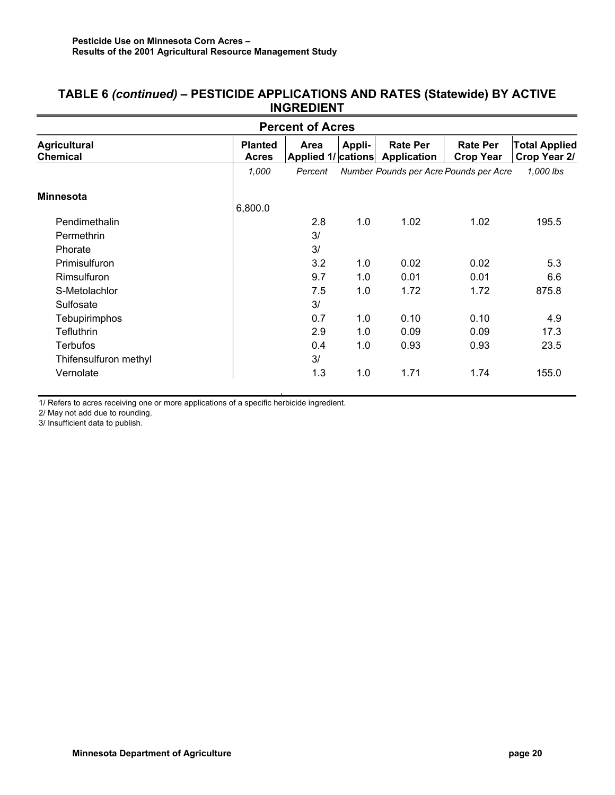#### **TABLE 6** *(continued)* **ñ PESTICIDE APPLICATIONS AND RATES (Statewide) BY ACTIVE INGREDIENT**

| <b>Percent of Acres</b>                |                                |                                   |        |                                       |                                        |                                      |
|----------------------------------------|--------------------------------|-----------------------------------|--------|---------------------------------------|----------------------------------------|--------------------------------------|
| <b>Agricultural</b><br><b>Chemical</b> | <b>Planted</b><br><b>Acres</b> | <b>Area</b><br>Applied 1/ cations | Appli- | <b>Rate Per</b><br><b>Application</b> | <b>Rate Per</b><br><b>Crop Year</b>    | <b>Total Applied</b><br>Crop Year 2/ |
|                                        | 1,000                          | Percent                           |        |                                       | Number Pounds per Acre Pounds per Acre | 1,000 lbs                            |
| <b>Minnesota</b>                       |                                |                                   |        |                                       |                                        |                                      |
|                                        | 6,800.0                        |                                   |        |                                       |                                        |                                      |
| Pendimethalin                          |                                | 2.8                               | 1.0    | 1.02                                  | 1.02                                   | 195.5                                |
| Permethrin                             |                                | 3/                                |        |                                       |                                        |                                      |
| Phorate                                |                                | 3/                                |        |                                       |                                        |                                      |
| Primisulfuron                          |                                | 3.2                               | 1.0    | 0.02                                  | 0.02                                   | 5.3                                  |
| Rimsulfuron                            |                                | 9.7                               | 1.0    | 0.01                                  | 0.01                                   | 6.6                                  |
| S-Metolachlor                          |                                | 7.5                               | 1.0    | 1.72                                  | 1.72                                   | 875.8                                |
| Sulfosate                              |                                | 3/                                |        |                                       |                                        |                                      |
| Tebupirimphos                          |                                | 0.7                               | 1.0    | 0.10                                  | 0.10                                   | 4.9                                  |
| <b>Tefluthrin</b>                      |                                | 2.9                               | 1.0    | 0.09                                  | 0.09                                   | 17.3                                 |
| <b>Terbufos</b>                        |                                | 0.4                               | 1.0    | 0.93                                  | 0.93                                   | 23.5                                 |
| Thifensulfuron methyl                  |                                | 3/                                |        |                                       |                                        |                                      |
| Vernolate                              |                                | 1.3                               | 1.0    | 1.71                                  | 1.74                                   | 155.0                                |

1/ Refers to acres receiving one or more applications of a specific herbicide ingredient.

2/ May not add due to rounding.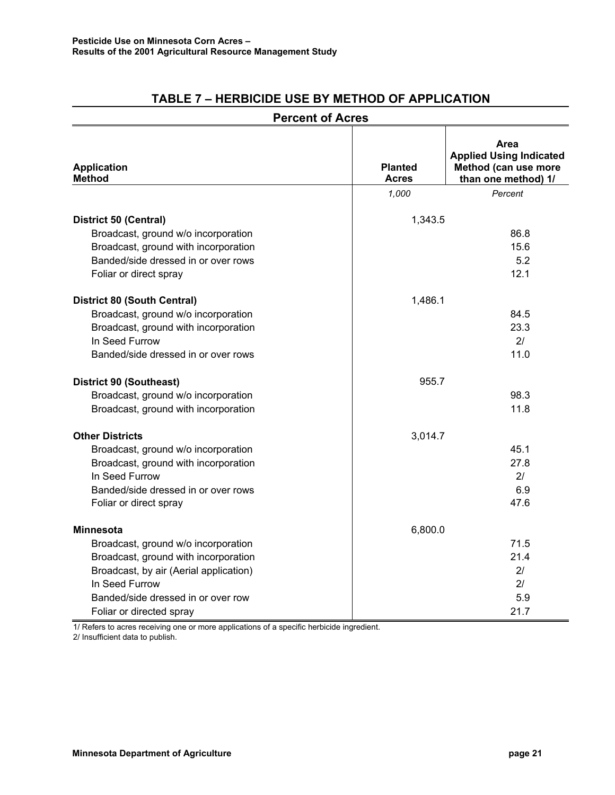**Percent of Acres** 

| <b>Application</b><br><b>Method</b>                                                                                                                                                                                           | <b>Planted</b><br><b>Acres</b> | Area<br><b>Applied Using Indicated</b><br>Method (can use more<br>than one method) 1/ |
|-------------------------------------------------------------------------------------------------------------------------------------------------------------------------------------------------------------------------------|--------------------------------|---------------------------------------------------------------------------------------|
|                                                                                                                                                                                                                               | 1,000                          | Percent                                                                               |
| <b>District 50 (Central)</b><br>Broadcast, ground w/o incorporation<br>Broadcast, ground with incorporation<br>Banded/side dressed in or over rows<br>Foliar or direct spray                                                  | 1,343.5                        | 86.8<br>15.6<br>5.2<br>12.1                                                           |
| <b>District 80 (South Central)</b><br>Broadcast, ground w/o incorporation<br>Broadcast, ground with incorporation<br>In Seed Furrow<br>Banded/side dressed in or over rows                                                    | 1,486.1                        | 84.5<br>23.3<br>2/<br>11.0                                                            |
| <b>District 90 (Southeast)</b><br>Broadcast, ground w/o incorporation<br>Broadcast, ground with incorporation                                                                                                                 | 955.7                          | 98.3<br>11.8                                                                          |
| <b>Other Districts</b><br>Broadcast, ground w/o incorporation<br>Broadcast, ground with incorporation<br>In Seed Furrow<br>Banded/side dressed in or over rows<br>Foliar or direct spray                                      | 3,014.7                        | 45.1<br>27.8<br>2/<br>6.9<br>47.6                                                     |
| <b>Minnesota</b><br>Broadcast, ground w/o incorporation<br>Broadcast, ground with incorporation<br>Broadcast, by air (Aerial application)<br>In Seed Furrow<br>Banded/side dressed in or over row<br>Foliar or directed spray | 6,800.0                        | 71.5<br>21.4<br>2/<br>2/<br>5.9<br>21.7                                               |

1/ Refers to acres receiving one or more applications of a specific herbicide ingredient.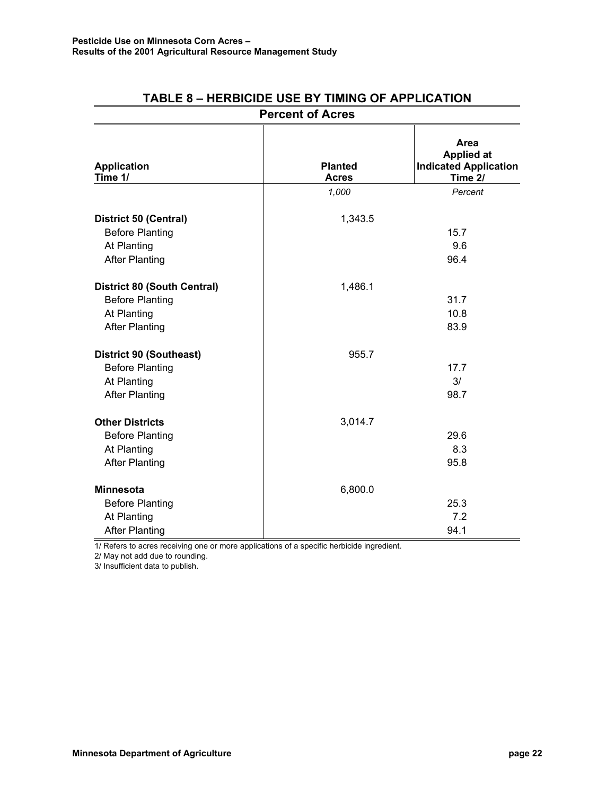| <b>Percent of Acres</b>               |                                |                                                                      |  |  |
|---------------------------------------|--------------------------------|----------------------------------------------------------------------|--|--|
| <b>Application</b><br>Time 1/         | <b>Planted</b><br><b>Acres</b> | Area<br><b>Applied at</b><br><b>Indicated Application</b><br>Time 2/ |  |  |
|                                       | 1,000                          | Percent                                                              |  |  |
| <b>District 50 (Central)</b>          | 1,343.5                        |                                                                      |  |  |
| <b>Before Planting</b><br>At Planting |                                | 15.7<br>9.6                                                          |  |  |
| <b>After Planting</b>                 |                                | 96.4                                                                 |  |  |
| <b>District 80 (South Central)</b>    | 1,486.1                        |                                                                      |  |  |
| <b>Before Planting</b>                |                                | 31.7                                                                 |  |  |
| At Planting                           |                                | 10.8                                                                 |  |  |
| <b>After Planting</b>                 |                                | 83.9                                                                 |  |  |
| <b>District 90 (Southeast)</b>        | 955.7                          |                                                                      |  |  |
| <b>Before Planting</b>                |                                | 17.7                                                                 |  |  |
| At Planting                           |                                | 3/                                                                   |  |  |
| <b>After Planting</b>                 |                                | 98.7                                                                 |  |  |
| <b>Other Districts</b>                | 3,014.7                        |                                                                      |  |  |
| <b>Before Planting</b>                |                                | 29.6                                                                 |  |  |
| At Planting                           |                                | 8.3                                                                  |  |  |
| <b>After Planting</b>                 |                                | 95.8                                                                 |  |  |
| <b>Minnesota</b>                      | 6,800.0                        |                                                                      |  |  |
| <b>Before Planting</b>                |                                | 25.3                                                                 |  |  |
| At Planting                           |                                | 7.2                                                                  |  |  |
| <b>After Planting</b>                 |                                | 94.1                                                                 |  |  |

### **TABLE 8 - HERBICIDE USE BY TIMING OF APPLICATION**

1/ Refers to acres receiving one or more applications of a specific herbicide ingredient.

2/ May not add due to rounding.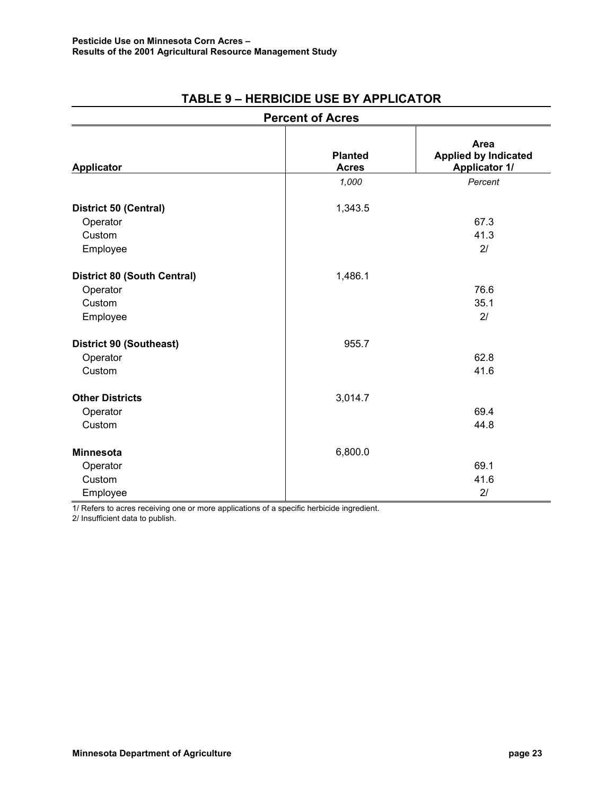| <b>Percent of Acres</b>            |                                |                                                             |  |  |
|------------------------------------|--------------------------------|-------------------------------------------------------------|--|--|
| <b>Applicator</b>                  | <b>Planted</b><br><b>Acres</b> | Area<br><b>Applied by Indicated</b><br><b>Applicator 1/</b> |  |  |
|                                    | 1,000                          | Percent                                                     |  |  |
| <b>District 50 (Central)</b>       | 1,343.5                        |                                                             |  |  |
| Operator                           |                                | 67.3                                                        |  |  |
| Custom                             |                                | 41.3                                                        |  |  |
| Employee                           |                                | 2/                                                          |  |  |
| <b>District 80 (South Central)</b> | 1,486.1                        |                                                             |  |  |
| Operator                           |                                | 76.6                                                        |  |  |
| Custom                             |                                | 35.1                                                        |  |  |
| Employee                           |                                | 2/                                                          |  |  |
| <b>District 90 (Southeast)</b>     | 955.7                          |                                                             |  |  |
| Operator                           |                                | 62.8                                                        |  |  |
| Custom                             |                                | 41.6                                                        |  |  |
| <b>Other Districts</b>             | 3,014.7                        |                                                             |  |  |
| Operator                           |                                | 69.4                                                        |  |  |
| Custom                             |                                | 44.8                                                        |  |  |
| <b>Minnesota</b>                   | 6,800.0                        |                                                             |  |  |
| Operator                           |                                | 69.1                                                        |  |  |
| Custom                             |                                | 41.6                                                        |  |  |
| Employee                           |                                | 2/                                                          |  |  |

#### **TABLE 9 - HERBICIDE USE BY APPLICATOR**

1/ Refers to acres receiving one or more applications of a specific herbicide ingredient.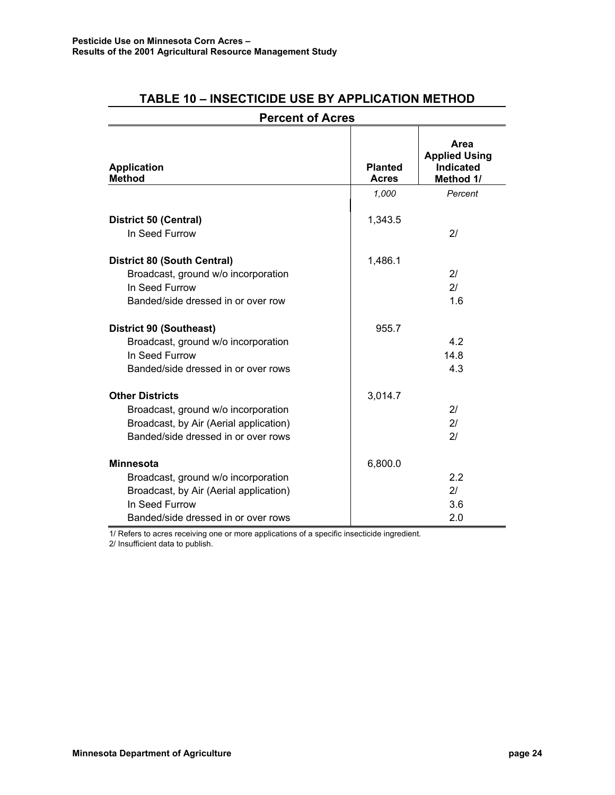| <b>Application</b><br><b>Method</b>                                                                                                                        | <b>Planted</b><br><b>Acres</b> | Area<br><b>Applied Using</b><br><b>Indicated</b><br>Method 1/ |
|------------------------------------------------------------------------------------------------------------------------------------------------------------|--------------------------------|---------------------------------------------------------------|
|                                                                                                                                                            | 1,000                          | Percent                                                       |
| <b>District 50 (Central)</b><br>In Seed Furrow                                                                                                             | 1,343.5                        | 2/                                                            |
| <b>District 80 (South Central)</b><br>Broadcast, ground w/o incorporation<br>In Seed Furrow<br>Banded/side dressed in or over row                          | 1,486.1                        | 2 <sup>1</sup><br>2 <sub>l</sub><br>1.6                       |
| <b>District 90 (Southeast)</b><br>Broadcast, ground w/o incorporation<br>In Seed Furrow<br>Banded/side dressed in or over rows                             | 955.7                          | 4.2<br>14.8<br>4.3                                            |
| <b>Other Districts</b><br>Broadcast, ground w/o incorporation<br>Broadcast, by Air (Aerial application)<br>Banded/side dressed in or over rows             | 3,014.7                        | 2 <sup>1</sup><br>2/<br>2 <sup>1</sup>                        |
| <b>Minnesota</b><br>Broadcast, ground w/o incorporation<br>Broadcast, by Air (Aerial application)<br>In Seed Furrow<br>Banded/side dressed in or over rows | 6,800.0                        | 2.2<br>2/<br>3.6<br>2.0                                       |

#### **TABLE 10 - INSECTICIDE USE BY APPLICATION METHOD Percent of Acres**

1/ Refers to acres receiving one or more applications of a specific insecticide ingredient.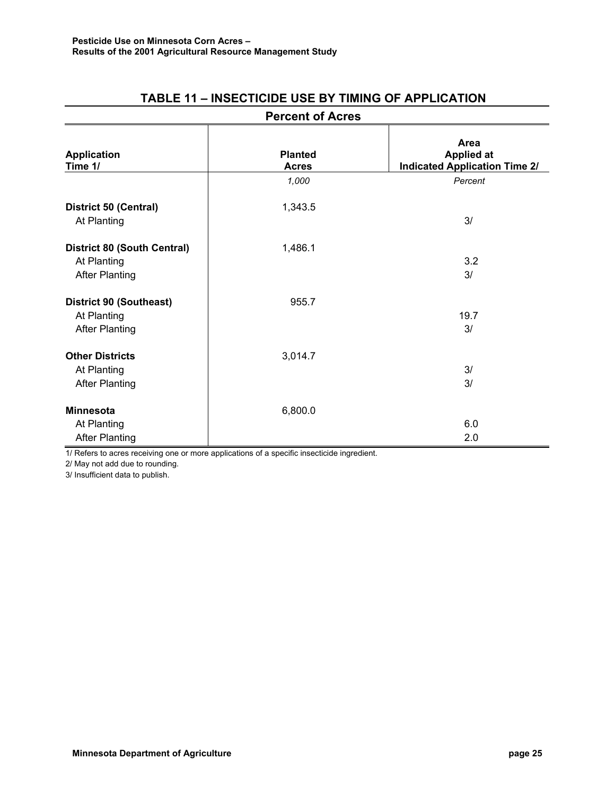| <b>Percent of Acres</b>                                                    |                                |                                                                   |  |  |
|----------------------------------------------------------------------------|--------------------------------|-------------------------------------------------------------------|--|--|
| <b>Application</b><br>Time 1/                                              | <b>Planted</b><br><b>Acres</b> | Area<br><b>Applied at</b><br><b>Indicated Application Time 2/</b> |  |  |
|                                                                            | 1,000                          | Percent                                                           |  |  |
| <b>District 50 (Central)</b><br>At Planting                                | 1,343.5                        | 3/                                                                |  |  |
| <b>District 80 (South Central)</b><br>At Planting<br><b>After Planting</b> | 1,486.1                        | 3.2<br>3/                                                         |  |  |
| <b>District 90 (Southeast)</b><br>At Planting<br><b>After Planting</b>     | 955.7                          | 19.7<br>3/                                                        |  |  |
| <b>Other Districts</b><br>At Planting<br><b>After Planting</b>             | 3,014.7                        | 3/<br>3/                                                          |  |  |
| <b>Minnesota</b><br>At Planting<br><b>After Planting</b>                   | 6,800.0                        | 6.0<br>2.0                                                        |  |  |

#### **TABLE 11 - INSECTICIDE USE BY TIMING OF APPLICATION**

1/ Refers to acres receiving one or more applications of a specific insecticide ingredient.

2/ May not add due to rounding.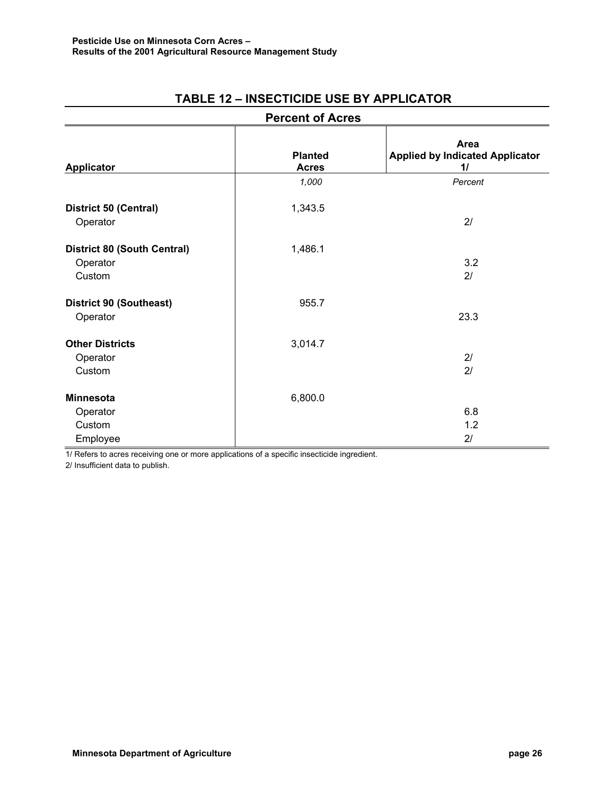| <b>Percent of Acres</b>                                  |                                |                                                      |  |  |  |
|----------------------------------------------------------|--------------------------------|------------------------------------------------------|--|--|--|
| <b>Applicator</b>                                        | <b>Planted</b><br><b>Acres</b> | Area<br><b>Applied by Indicated Applicator</b><br>1/ |  |  |  |
|                                                          | 1,000                          | Percent                                              |  |  |  |
| <b>District 50 (Central)</b><br>Operator                 | 1,343.5                        | 2/                                                   |  |  |  |
| <b>District 80 (South Central)</b><br>Operator<br>Custom | 1,486.1                        | 3.2<br>2/                                            |  |  |  |
| <b>District 90 (Southeast)</b><br>Operator               | 955.7                          | 23.3                                                 |  |  |  |
| <b>Other Districts</b><br>Operator<br>Custom             | 3,014.7                        | 2/<br>2/                                             |  |  |  |
| <b>Minnesota</b><br>Operator<br>Custom<br>Employee       | 6,800.0                        | 6.8<br>1.2<br>2/                                     |  |  |  |

#### **TABLE 12 - INSECTICIDE USE BY APPLICATOR**

1/ Refers to acres receiving one or more applications of a specific insecticide ingredient.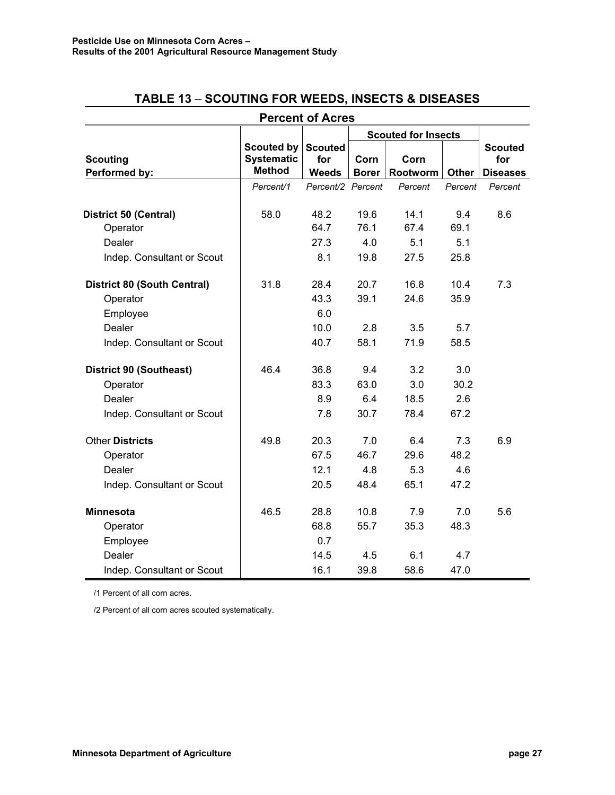| <b>Percent of Acres</b>            |                                                         |                       |              |                            |         |                       |
|------------------------------------|---------------------------------------------------------|-----------------------|--------------|----------------------------|---------|-----------------------|
|                                    |                                                         |                       |              | <b>Scouted for Insects</b> |         |                       |
| <b>Scouting</b>                    | <b>Scouted by</b><br><b>Systematic</b><br><b>Method</b> | <b>Scouted</b><br>for | Corn         | Corn                       |         | <b>Scouted</b><br>for |
| Performed by:                      |                                                         | <b>Weeds</b>          | <b>Borer</b> | Rootworm                   | Other   | <b>Diseases</b>       |
|                                    | Percent/1                                               | Percent/2 Percent     |              | Percent                    | Percent | Percent               |
| <b>District 50 (Central)</b>       | 58.0                                                    | 48.2                  | 19.6         | 14.1                       | 9.4     | 8.6                   |
| Operator                           |                                                         | 64.7                  | 76.1         | 67.4                       | 69.1    |                       |
| Dealer                             |                                                         | 27.3                  | 4.0          | 5.1                        | 5.1     |                       |
| Indep. Consultant or Scout         |                                                         | 8.1                   | 19.8         | 27.5                       | 25.8    |                       |
| <b>District 80 (South Central)</b> | 31.8                                                    | 28.4                  | 20.7         | 16.8                       | 10.4    | 7.3                   |
| Operator                           |                                                         | 43.3                  | 39.1         | 24.6                       | 35.9    |                       |
| Employee                           |                                                         | 6.0                   |              |                            |         |                       |
| Dealer                             |                                                         | 10.0                  | 2.8          | 3.5                        | 5.7     |                       |
| Indep. Consultant or Scout         |                                                         | 40.7                  | 58.1         | 71.9                       | 58.5    |                       |
| <b>District 90 (Southeast)</b>     | 46.4                                                    | 36.8                  | 9.4          | 3.2                        | 3.0     |                       |
| Operator                           |                                                         | 83.3                  | 63.0         | 3.0                        | 30.2    |                       |
| Dealer                             |                                                         | 8.9                   | 6.4          | 18.5                       | 2.6     |                       |
| Indep. Consultant or Scout         |                                                         | 7.8                   | 30.7         | 78.4                       | 67.2    |                       |
| <b>Other Districts</b>             | 49.8                                                    | 20.3                  | 7.0          | 6.4                        | 7.3     | 6.9                   |
| Operator                           |                                                         | 67.5                  | 46.7         | 29.6                       | 48.2    |                       |
| Dealer                             |                                                         | 12.1                  | 4.8          | 5.3                        | 4.6     |                       |
| Indep. Consultant or Scout         |                                                         | 20.5                  | 48.4         | 65.1                       | 47.2    |                       |
| <b>Minnesota</b>                   | 46.5                                                    | 28.8                  | 10.8         | 7.9                        | 7.0     | 5.6                   |
| Operator                           |                                                         | 68.8                  | 55.7         | 35.3                       | 48.3    |                       |
| Employee                           |                                                         | 0.7                   |              |                            |         |                       |
| Dealer                             |                                                         | 14.5                  | 4.5          | 6.1                        | 4.7     |                       |
| Indep. Consultant or Scout         |                                                         | 16.1                  | 39.8         | 58.6                       | 47.0    |                       |

#### TABLE 13 - SCOUTING FOR WEEDS, INSECTS & DISEASES

/1 Percent of all corn acres.

/2 Percent of all corn acres scouted systematically.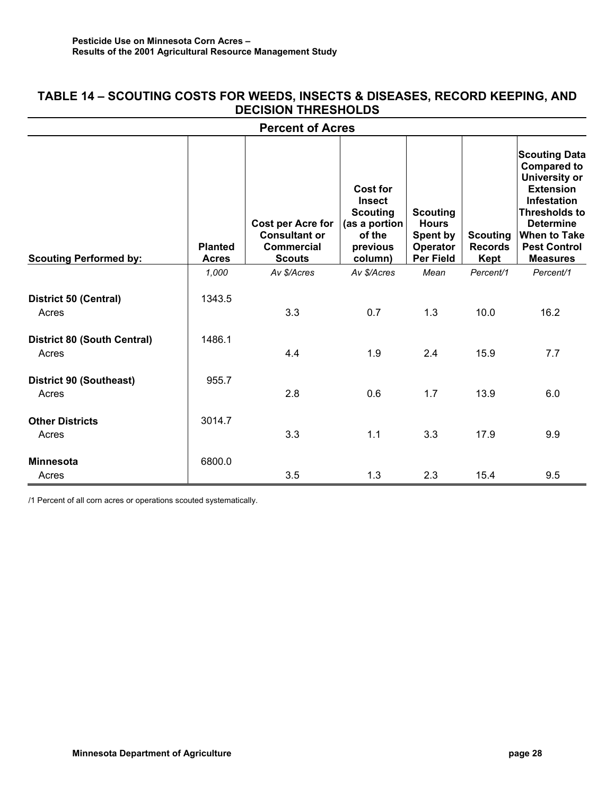#### **TABLE 14 - SCOUTING COSTS FOR WEEDS, INSECTS & DISEASES, RECORD KEEPING, AND DECISION THRESHOLDS**

| <b>Percent of Acres</b>                     |                                |                                                                                 |                                                                                                       |                                                                             |                                           |                                                                                                                                                                                                                           |  |
|---------------------------------------------|--------------------------------|---------------------------------------------------------------------------------|-------------------------------------------------------------------------------------------------------|-----------------------------------------------------------------------------|-------------------------------------------|---------------------------------------------------------------------------------------------------------------------------------------------------------------------------------------------------------------------------|--|
| <b>Scouting Performed by:</b>               | <b>Planted</b><br><b>Acres</b> | Cost per Acre for<br><b>Consultant or</b><br><b>Commercial</b><br><b>Scouts</b> | <b>Cost for</b><br><b>Insect</b><br><b>Scouting</b><br>(as a portion<br>of the<br>previous<br>column) | <b>Scouting</b><br><b>Hours</b><br>Spent by<br>Operator<br><b>Per Field</b> | <b>Scouting</b><br><b>Records</b><br>Kept | <b>Scouting Data</b><br><b>Compared to</b><br><b>University or</b><br><b>Extension</b><br><b>Infestation</b><br><b>Thresholds to</b><br><b>Determine</b><br><b>When to Take</b><br><b>Pest Control</b><br><b>Measures</b> |  |
|                                             | 1,000                          | Av \$/Acres                                                                     | Av \$/Acres                                                                                           | Mean                                                                        | Percent/1                                 | Percent/1                                                                                                                                                                                                                 |  |
| <b>District 50 (Central)</b><br>Acres       | 1343.5                         | 3.3                                                                             | 0.7                                                                                                   | 1.3                                                                         | 10.0                                      | 16.2                                                                                                                                                                                                                      |  |
| <b>District 80 (South Central)</b><br>Acres | 1486.1                         | 4.4                                                                             | 1.9                                                                                                   | 2.4                                                                         | 15.9                                      | 7.7                                                                                                                                                                                                                       |  |
| <b>District 90 (Southeast)</b><br>Acres     | 955.7                          | 2.8                                                                             | 0.6                                                                                                   | 1.7                                                                         | 13.9                                      | 6.0                                                                                                                                                                                                                       |  |
| <b>Other Districts</b><br>Acres             | 3014.7                         | 3.3                                                                             | 1.1                                                                                                   | 3.3                                                                         | 17.9                                      | 9.9                                                                                                                                                                                                                       |  |
| <b>Minnesota</b><br>Acres                   | 6800.0                         | 3.5                                                                             | 1.3                                                                                                   | 2.3                                                                         | 15.4                                      | 9.5                                                                                                                                                                                                                       |  |

/1 Percent of all corn acres or operations scouted systematically.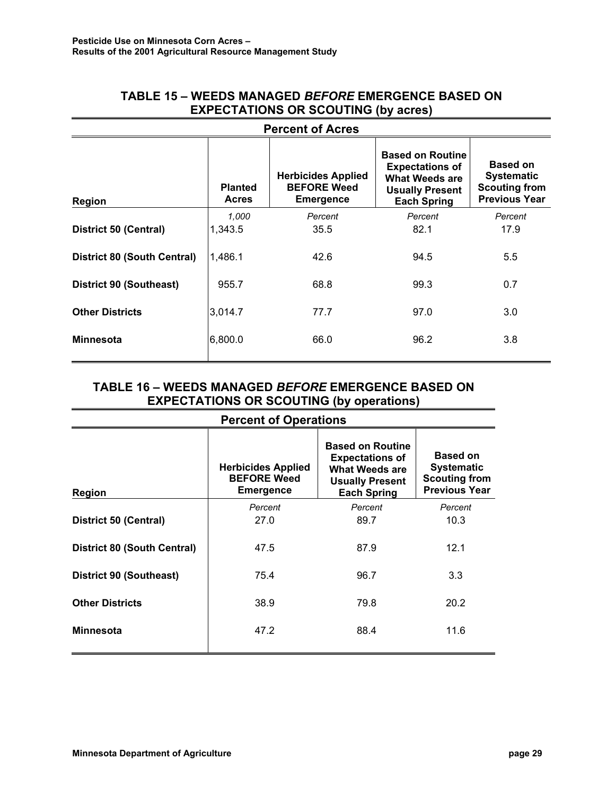| <b>TABLE 15 – WEEDS MANAGED BEFORE EMERGENCE BASED ON</b> |
|-----------------------------------------------------------|
| <b>EXPECTATIONS OR SCOUTING (by acres)</b>                |

| <b>Percent of Acres</b>            |                                |                                                                     |                                                                                                                            |                                                                                      |  |  |
|------------------------------------|--------------------------------|---------------------------------------------------------------------|----------------------------------------------------------------------------------------------------------------------------|--------------------------------------------------------------------------------------|--|--|
| <b>Region</b>                      | <b>Planted</b><br><b>Acres</b> | <b>Herbicides Applied</b><br><b>BEFORE Weed</b><br><b>Emergence</b> | <b>Based on Routine</b><br><b>Expectations of</b><br><b>What Weeds are</b><br><b>Usually Present</b><br><b>Each Spring</b> | <b>Based on</b><br><b>Systematic</b><br><b>Scouting from</b><br><b>Previous Year</b> |  |  |
|                                    | 1,000                          | Percent                                                             | Percent                                                                                                                    | Percent                                                                              |  |  |
| <b>District 50 (Central)</b>       | 1,343.5                        | 35.5                                                                | 82.1                                                                                                                       | 17.9                                                                                 |  |  |
| <b>District 80 (South Central)</b> | 1,486.1                        | 42.6                                                                | 94.5                                                                                                                       | 5.5                                                                                  |  |  |
| <b>District 90 (Southeast)</b>     | 955.7                          | 68.8                                                                | 99.3                                                                                                                       | 0.7                                                                                  |  |  |
| <b>Other Districts</b>             | 3,014.7                        | 77.7                                                                | 97.0                                                                                                                       | 3.0                                                                                  |  |  |
| <b>Minnesota</b>                   | 6,800.0                        | 66.0                                                                | 96.2                                                                                                                       | 3.8                                                                                  |  |  |
|                                    |                                |                                                                     |                                                                                                                            |                                                                                      |  |  |

#### **TABLE 16 ñ WEEDS MANAGED** *BEFORE* **EMERGENCE BASED ON EXPECTATIONS OR SCOUTING (by operations)**

| <b>Percent of Operations</b>                                                                                                                                                                                                                                                                               |         |         |         |  |  |  |  |  |
|------------------------------------------------------------------------------------------------------------------------------------------------------------------------------------------------------------------------------------------------------------------------------------------------------------|---------|---------|---------|--|--|--|--|--|
| <b>Based on Routine</b><br><b>Based on</b><br><b>Expectations of</b><br><b>Systematic</b><br><b>Herbicides Applied</b><br><b>What Weeds are</b><br><b>BEFORE Weed</b><br><b>Scouting from</b><br><b>Usually Present</b><br><b>Previous Year</b><br><b>Emergence</b><br><b>Each Spring</b><br><b>Region</b> |         |         |         |  |  |  |  |  |
|                                                                                                                                                                                                                                                                                                            | Percent | Percent | Percent |  |  |  |  |  |
| <b>District 50 (Central)</b>                                                                                                                                                                                                                                                                               | 27.0    | 89.7    | 10.3    |  |  |  |  |  |
| <b>District 80 (South Central)</b>                                                                                                                                                                                                                                                                         | 47.5    | 87.9    | 12.1    |  |  |  |  |  |
| <b>District 90 (Southeast)</b>                                                                                                                                                                                                                                                                             | 75.4    | 96.7    | 3.3     |  |  |  |  |  |
| <b>Other Districts</b>                                                                                                                                                                                                                                                                                     | 38.9    | 79.8    | 20.2    |  |  |  |  |  |
| <b>Minnesota</b>                                                                                                                                                                                                                                                                                           | 47.2    | 88.4    | 11.6    |  |  |  |  |  |
|                                                                                                                                                                                                                                                                                                            |         |         |         |  |  |  |  |  |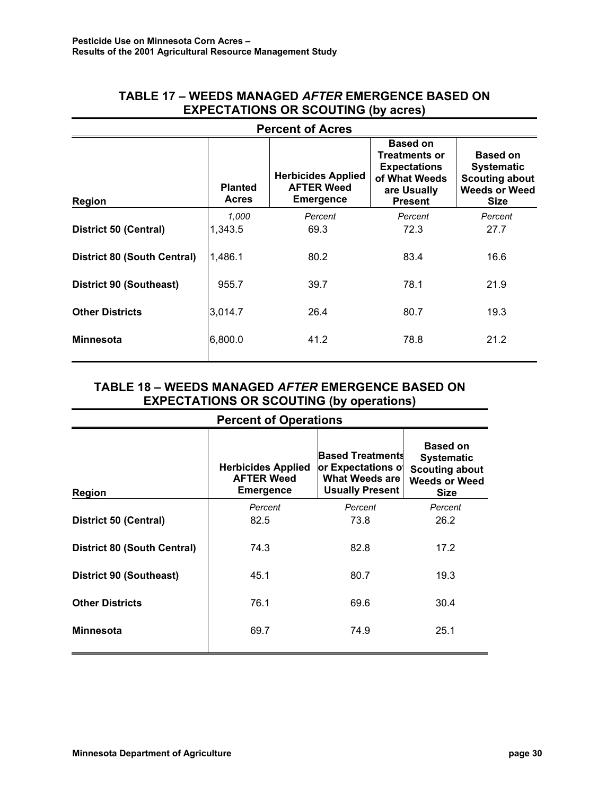| TABLE 17 – WEEDS MANAGED AFTER EMERGENCE BASED ON |  |
|---------------------------------------------------|--|
| <b>EXPECTATIONS OR SCOUTING (by acres)</b>        |  |

| <b>Percent of Acres</b>        |                                                                    |                                                                                                                  |                                                                                                      |  |  |  |  |
|--------------------------------|--------------------------------------------------------------------|------------------------------------------------------------------------------------------------------------------|------------------------------------------------------------------------------------------------------|--|--|--|--|
| <b>Planted</b><br><b>Acres</b> | <b>Herbicides Applied</b><br><b>AFTER Weed</b><br><b>Emergence</b> | <b>Based on</b><br><b>Treatments or</b><br><b>Expectations</b><br>of What Weeds<br>are Usually<br><b>Present</b> | <b>Based on</b><br><b>Systematic</b><br><b>Scouting about</b><br><b>Weeds or Weed</b><br><b>Size</b> |  |  |  |  |
| 1,000                          | Percent                                                            | Percent                                                                                                          | Percent                                                                                              |  |  |  |  |
| 1,343.5                        | 69.3                                                               | 72.3                                                                                                             | 27.7                                                                                                 |  |  |  |  |
| 1,486.1                        | 80.2                                                               | 83.4                                                                                                             | 16.6                                                                                                 |  |  |  |  |
| 955.7                          | 39.7                                                               | 78.1                                                                                                             | 21.9                                                                                                 |  |  |  |  |
| 3,014.7                        | 26.4                                                               | 80.7                                                                                                             | 19.3                                                                                                 |  |  |  |  |
| 6,800.0                        | 41.2                                                               | 78.8                                                                                                             | 21.2                                                                                                 |  |  |  |  |
|                                |                                                                    |                                                                                                                  |                                                                                                      |  |  |  |  |

#### **TABLE 18 ñ WEEDS MANAGED** *AFTER* **EMERGENCE BASED ON EXPECTATIONS OR SCOUTING (by operations)**

| <b>Percent of Operations</b>       |                                                                    |                                                                                           |                                                                                                      |  |  |  |
|------------------------------------|--------------------------------------------------------------------|-------------------------------------------------------------------------------------------|------------------------------------------------------------------------------------------------------|--|--|--|
| Region                             | <b>Herbicides Applied</b><br><b>AFTER Weed</b><br><b>Emergence</b> | Based Treatments<br>or Expectations of<br><b>What Weeds are</b><br><b>Usually Present</b> | <b>Based on</b><br><b>Systematic</b><br><b>Scouting about</b><br><b>Weeds or Weed</b><br><b>Size</b> |  |  |  |
|                                    | Percent                                                            | Percent                                                                                   | Percent                                                                                              |  |  |  |
| <b>District 50 (Central)</b>       | 82.5                                                               | 73.8                                                                                      | 26.2                                                                                                 |  |  |  |
| <b>District 80 (South Central)</b> | 74.3                                                               | 82.8                                                                                      | 17.2                                                                                                 |  |  |  |
| <b>District 90 (Southeast)</b>     | 45.1                                                               | 80.7                                                                                      | 19.3                                                                                                 |  |  |  |
| <b>Other Districts</b>             | 76.1                                                               | 69.6                                                                                      | 30.4                                                                                                 |  |  |  |
| <b>Minnesota</b>                   | 69.7                                                               | 74.9                                                                                      | 25.1                                                                                                 |  |  |  |
|                                    |                                                                    |                                                                                           |                                                                                                      |  |  |  |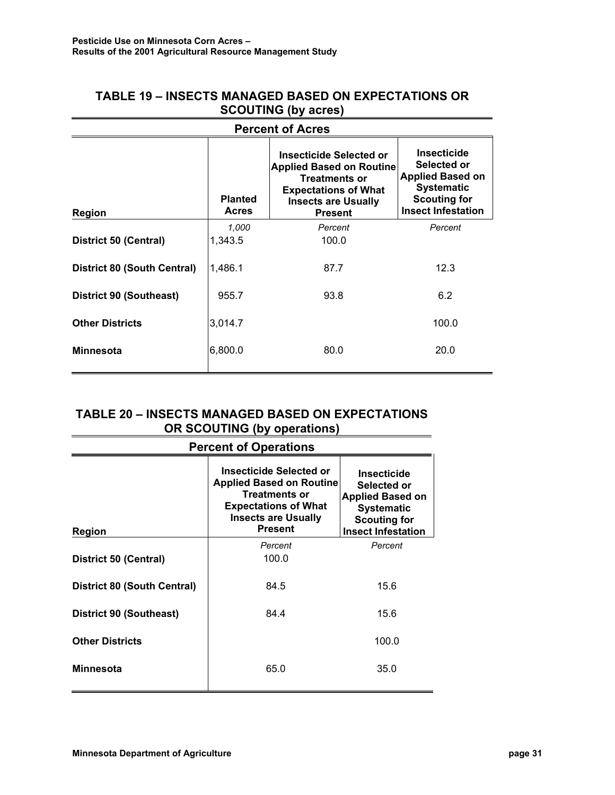| TABLE 19 – INSECTS MANAGED BASED ON EXPECTATIONS OR |  |
|-----------------------------------------------------|--|
| <b>SCOUTING (by acres)</b>                          |  |

| <b>Percent of Acres</b>            |                                |                                                                                                                                                                          |                                                                                                                                       |  |  |  |
|------------------------------------|--------------------------------|--------------------------------------------------------------------------------------------------------------------------------------------------------------------------|---------------------------------------------------------------------------------------------------------------------------------------|--|--|--|
| <b>Region</b>                      | <b>Planted</b><br><b>Acres</b> | <b>Insecticide Selected or</b><br><b>Applied Based on Routine</b><br><b>Treatments or</b><br><b>Expectations of What</b><br><b>Insects are Usually</b><br><b>Present</b> | <b>Insecticide</b><br>Selected or<br><b>Applied Based on</b><br><b>Systematic</b><br><b>Scouting for</b><br><b>Insect Infestation</b> |  |  |  |
|                                    | 1.000                          | Percent                                                                                                                                                                  | Percent                                                                                                                               |  |  |  |
| <b>District 50 (Central)</b>       | 1,343.5                        | 100.0                                                                                                                                                                    |                                                                                                                                       |  |  |  |
| <b>District 80 (South Central)</b> | 1,486.1                        | 87.7                                                                                                                                                                     | 12.3                                                                                                                                  |  |  |  |
| District 90 (Southeast)            | 955.7                          | 93.8                                                                                                                                                                     | 6.2                                                                                                                                   |  |  |  |
| <b>Other Districts</b>             | 3,014.7                        |                                                                                                                                                                          | 100.0                                                                                                                                 |  |  |  |
| <b>Minnesota</b>                   | 6,800.0                        | 80.0                                                                                                                                                                     | 20.0                                                                                                                                  |  |  |  |

#### **TABLE 20 - INSECTS MANAGED BASED ON EXPECTATIONS OR SCOUTING (by operations)**

| <b>Percent of Operations</b>       |                                                                                                                                                                   |                                                                                                                                       |  |  |  |  |
|------------------------------------|-------------------------------------------------------------------------------------------------------------------------------------------------------------------|---------------------------------------------------------------------------------------------------------------------------------------|--|--|--|--|
| <b>Region</b>                      | Insecticide Selected or<br><b>Applied Based on Routine</b><br><b>Treatments or</b><br><b>Expectations of What</b><br><b>Insects are Usually</b><br><b>Present</b> | <b>Insecticide</b><br>Selected or<br><b>Applied Based on</b><br><b>Systematic</b><br><b>Scouting for</b><br><b>Insect Infestation</b> |  |  |  |  |
|                                    | Percent                                                                                                                                                           | Percent                                                                                                                               |  |  |  |  |
| District 50 (Central)              | 100.0                                                                                                                                                             |                                                                                                                                       |  |  |  |  |
| <b>District 80 (South Central)</b> | 84.5                                                                                                                                                              | 15.6                                                                                                                                  |  |  |  |  |
| District 90 (Southeast)            | 84.4                                                                                                                                                              | 15.6                                                                                                                                  |  |  |  |  |
| <b>Other Districts</b>             |                                                                                                                                                                   | 100.0                                                                                                                                 |  |  |  |  |
| <b>Minnesota</b>                   | 65.0                                                                                                                                                              | 35.0                                                                                                                                  |  |  |  |  |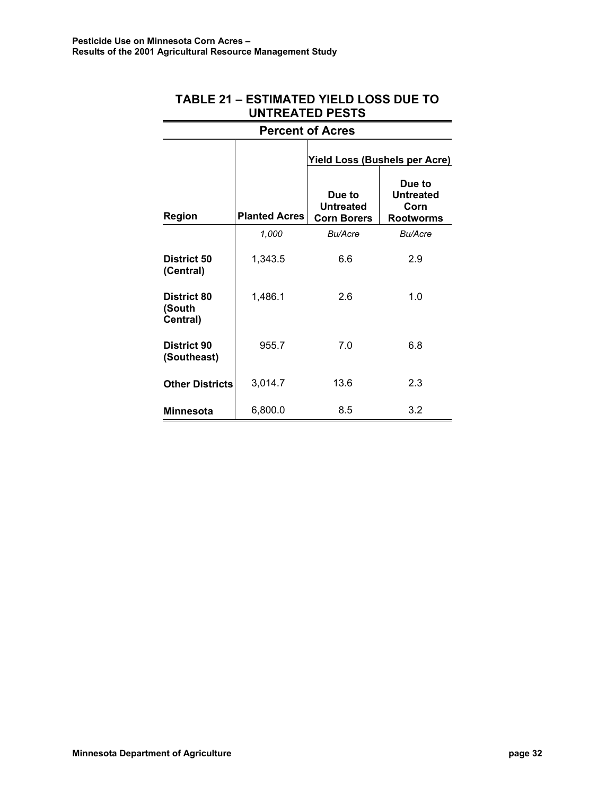|                                   | <b>Percent of Acres</b> |                                                  |                                                        |  |  |  |  |
|-----------------------------------|-------------------------|--------------------------------------------------|--------------------------------------------------------|--|--|--|--|
|                                   |                         |                                                  | <b>Yield Loss (Bushels per Acre)</b>                   |  |  |  |  |
| <b>Region</b>                     | <b>Planted Acres</b>    | Due to<br><b>Untreated</b><br><b>Corn Borers</b> | Due to<br><b>Untreated</b><br>Corn<br><b>Rootworms</b> |  |  |  |  |
|                                   | 1,000                   | Bu/Acre                                          | Bu/Acre                                                |  |  |  |  |
| District 50<br>(Central)          | 1,343.5                 | 6.6                                              | 2.9                                                    |  |  |  |  |
| District 80<br>(South<br>Central) | 1,486.1                 | 2.6                                              | 1.0                                                    |  |  |  |  |
| <b>District 90</b><br>(Southeast) | 955.7                   | 7.0                                              | 6.8                                                    |  |  |  |  |
| <b>Other Districts</b>            | 3,014.7                 | 13.6                                             | 2.3                                                    |  |  |  |  |
| <b>Minnesota</b>                  | 6,800.0                 | 8.5                                              | 3.2                                                    |  |  |  |  |

#### **TABLE 21 - ESTIMATED YIELD LOSS DUE TO UNTREATED PESTS**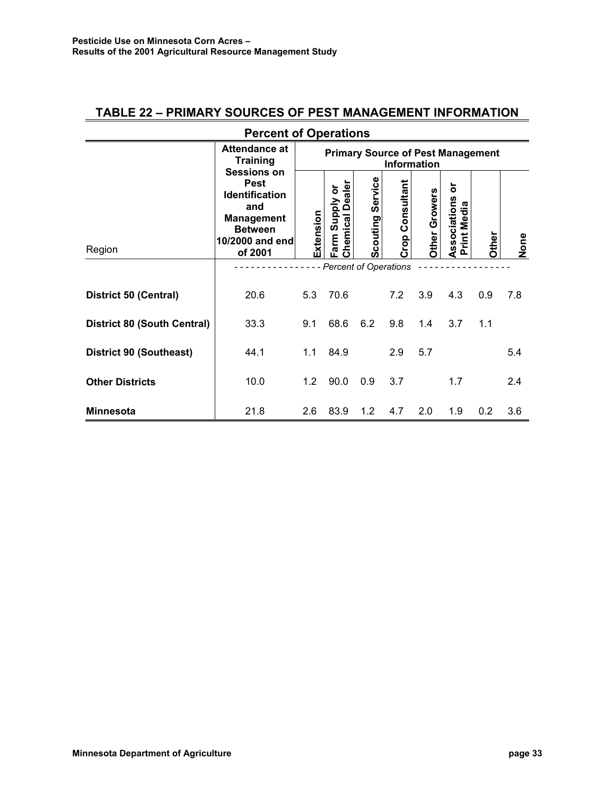#### **TABLE 22 - PRIMARY SOURCES OF PEST MANAGEMENT INFORMATION**

| <b>Percent of Operations</b>       |                                                                                                                                        |                                                                |                                                 |                            |                    |               |                                   |                  |      |
|------------------------------------|----------------------------------------------------------------------------------------------------------------------------------------|----------------------------------------------------------------|-------------------------------------------------|----------------------------|--------------------|---------------|-----------------------------------|------------------|------|
|                                    | <b>Attendance at</b><br><b>Training</b>                                                                                                | <b>Primary Source of Pest Management</b><br><b>Information</b> |                                                 |                            |                    |               |                                   |                  |      |
| Region                             | <b>Sessions on</b><br><b>Pest</b><br><b>Identification</b><br>and<br><b>Management</b><br><b>Between</b><br>10/2000 and end<br>of 2001 | Extension                                                      | Dealer<br>ট<br><b>Supply</b><br>hemical<br>Farm | Service<br><b>Scouting</b> | Consultant<br>Crop | Other Growers | ៍<br>ssociations<br>Media<br>rint | Other            | None |
|                                    |                                                                                                                                        |                                                                | -- Percent of Operations                        |                            |                    |               |                                   |                  |      |
| <b>District 50 (Central)</b>       | 20.6                                                                                                                                   | 5.3                                                            | 70.6                                            |                            | 7.2                | 3.9           | 4.3                               | 0.9              | 7.8  |
| <b>District 80 (South Central)</b> | 33.3                                                                                                                                   | 9.1                                                            | 68.6                                            | 6.2                        | 9.8                | 1.4           | 3.7                               | 1.1              |      |
| <b>District 90 (Southeast)</b>     | 44.1                                                                                                                                   | 1.1                                                            | 84.9                                            |                            | 2.9                | 5.7           |                                   |                  | 5.4  |
| <b>Other Districts</b>             | 10.0                                                                                                                                   | 1.2                                                            | 90.0                                            | 0.9                        | 3.7                |               | 1.7                               |                  | 2.4  |
| <b>Minnesota</b>                   | 21.8                                                                                                                                   | 2.6                                                            | 83.9                                            | 1.2                        | 4.7                | 2.0           | 1.9                               | 0.2 <sub>0</sub> | 3.6  |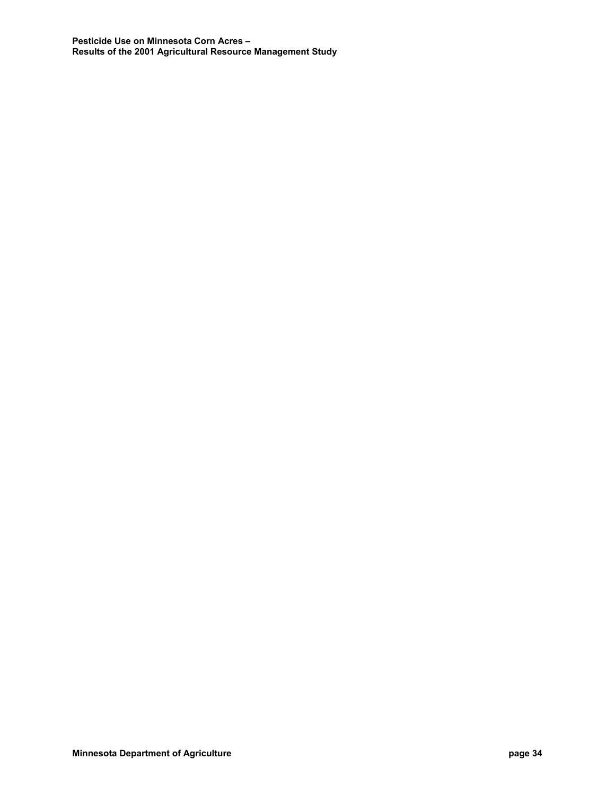**Pesticide Use on Minnesota Corn Acres -Results of the 2001 Agricultural Resource Management Study**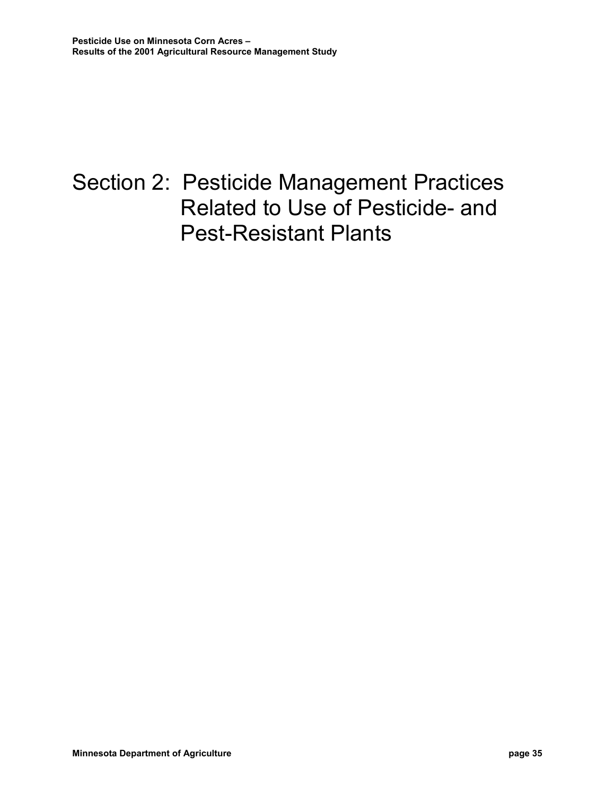# Section 2: Pesticide Management Practices Related to Use of Pesticide- and Pest-Resistant Plants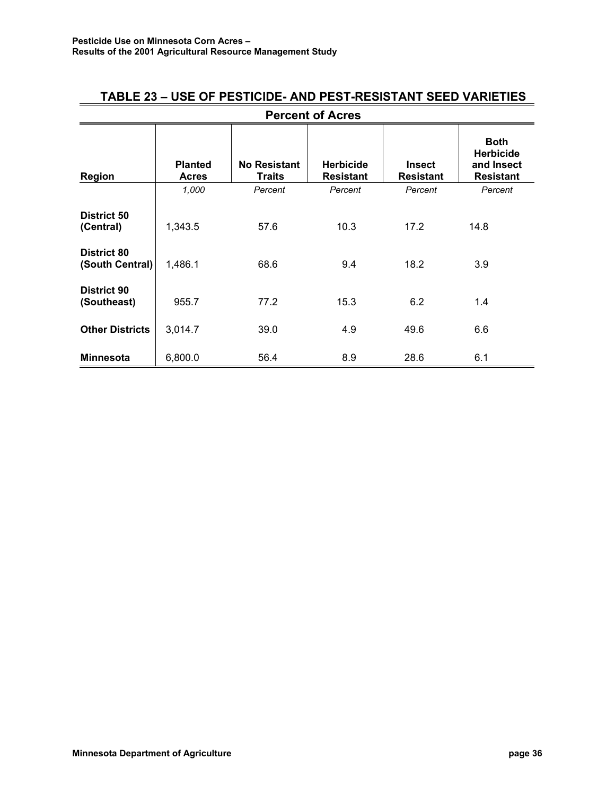| <b>Percent of Acres</b>        |                                |                                      |                                      |                                   |                                                                   |  |  |
|--------------------------------|--------------------------------|--------------------------------------|--------------------------------------|-----------------------------------|-------------------------------------------------------------------|--|--|
| <b>Region</b>                  | <b>Planted</b><br><b>Acres</b> | <b>No Resistant</b><br><b>Traits</b> | <b>Herbicide</b><br><b>Resistant</b> | <b>Insect</b><br><b>Resistant</b> | <b>Both</b><br><b>Herbicide</b><br>and Insect<br><b>Resistant</b> |  |  |
|                                | 1,000                          | Percent                              | Percent                              | Percent                           | Percent                                                           |  |  |
| District 50<br>(Central)       | 1,343.5                        | 57.6                                 | 10.3                                 | 17.2                              | 14.8                                                              |  |  |
| District 80<br>(South Central) | 1,486.1                        | 68.6                                 | 9.4                                  | 18.2                              | 3.9                                                               |  |  |
| District 90<br>(Southeast)     | 955.7                          | 77.2                                 | 15.3                                 | 6.2                               | 1.4                                                               |  |  |
| <b>Other Districts</b>         | 3,014.7                        | 39.0                                 | 4.9                                  | 49.6                              | 6.6                                                               |  |  |
| <b>Minnesota</b>               | 6,800.0                        | 56.4                                 | 8.9                                  | 28.6                              | 6.1                                                               |  |  |

#### **TABLE 23 - USE OF PESTICIDE- AND PEST-RESISTANT SEED VARIETIES**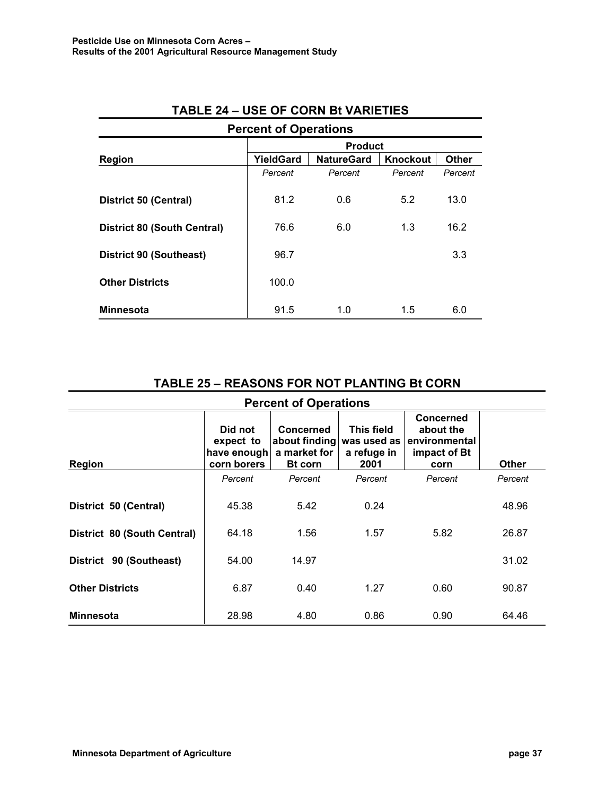| <b>Percent of Operations</b>       |                  |                   |                 |              |  |  |  |
|------------------------------------|------------------|-------------------|-----------------|--------------|--|--|--|
|                                    | <b>Product</b>   |                   |                 |              |  |  |  |
| Region                             | <b>YieldGard</b> | <b>NatureGard</b> | <b>Knockout</b> | <b>Other</b> |  |  |  |
|                                    | Percent          | Percent           | Percent         | Percent      |  |  |  |
| <b>District 50 (Central)</b>       | 81.2             | 0.6               | 5.2             | 13.0         |  |  |  |
| <b>District 80 (South Central)</b> | 76.6             | 6.0               | 1.3             | 16.2         |  |  |  |
| <b>District 90 (Southeast)</b>     | 96.7             |                   |                 | 3.3          |  |  |  |
| <b>Other Districts</b>             | 100.0            |                   |                 |              |  |  |  |
| <b>Minnesota</b>                   | 91.5             | 1.0               | 1.5             | 6.0          |  |  |  |

#### **TABLE 24 - USE OF CORN Bt VARIETIES**

#### **TABLE 25 - REASONS FOR NOT PLANTING Bt CORN**

#### **Percent of Operations**

| Region                      | Did not<br>expect to<br>have enough<br>corn borers | Concerned<br>about finding<br>a market for<br><b>Bt corn</b> | This field<br>was used as<br>a refuge in<br>2001 | Concerned<br>about the<br>environmental<br>impact of Bt<br>corn | <b>Other</b> |
|-----------------------------|----------------------------------------------------|--------------------------------------------------------------|--------------------------------------------------|-----------------------------------------------------------------|--------------|
|                             | Percent                                            | Percent                                                      | Percent                                          | Percent                                                         | Percent      |
| District 50 (Central)       | 45.38                                              | 5.42                                                         | 0.24                                             |                                                                 | 48.96        |
| District 80 (South Central) | 64.18                                              | 1.56                                                         | 1.57                                             | 5.82                                                            | 26.87        |
| District 90 (Southeast)     | 54.00                                              | 14.97                                                        |                                                  |                                                                 | 31.02        |
| <b>Other Districts</b>      | 6.87                                               | 0.40                                                         | 1.27                                             | 0.60                                                            | 90.87        |
| <b>Minnesota</b>            | 28.98                                              | 4.80                                                         | 0.86                                             | 0.90                                                            | 64.46        |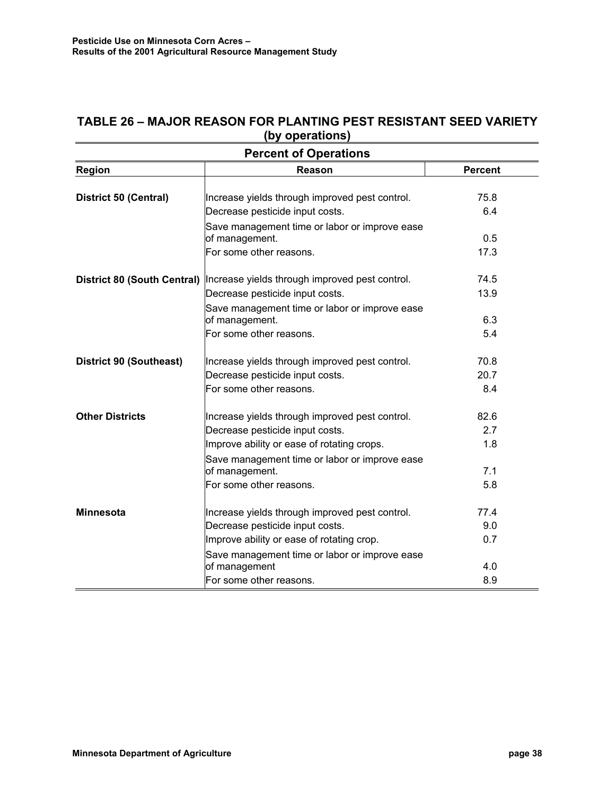| <b>Percent of Operations</b>       |                                                                 |                |  |  |  |
|------------------------------------|-----------------------------------------------------------------|----------------|--|--|--|
| Region                             | Reason                                                          | <b>Percent</b> |  |  |  |
| <b>District 50 (Central)</b>       | Increase yields through improved pest control.                  | 75.8           |  |  |  |
|                                    | Decrease pesticide input costs.                                 | 6.4            |  |  |  |
|                                    | Save management time or labor or improve ease<br>of management. | 0.5            |  |  |  |
|                                    | For some other reasons.                                         | 17.3           |  |  |  |
| <b>District 80 (South Central)</b> | Increase yields through improved pest control.                  | 74.5           |  |  |  |
|                                    | Decrease pesticide input costs.                                 | 13.9           |  |  |  |
|                                    | Save management time or labor or improve ease                   |                |  |  |  |
|                                    | of management.                                                  | 6.3            |  |  |  |
|                                    | For some other reasons.                                         | 5.4            |  |  |  |
| <b>District 90 (Southeast)</b>     | Increase yields through improved pest control.                  | 70.8           |  |  |  |
|                                    | Decrease pesticide input costs.                                 | 20.7           |  |  |  |
|                                    | For some other reasons.                                         | 8.4            |  |  |  |
| <b>Other Districts</b>             | Increase yields through improved pest control.                  | 82.6           |  |  |  |
|                                    | Decrease pesticide input costs.                                 | 2.7            |  |  |  |
|                                    | Improve ability or ease of rotating crops.                      | 1.8            |  |  |  |
|                                    | Save management time or labor or improve ease                   |                |  |  |  |
|                                    | of management.                                                  | 7.1            |  |  |  |
|                                    | For some other reasons.                                         | 5.8            |  |  |  |
| <b>Minnesota</b>                   | Increase yields through improved pest control.                  | 77.4           |  |  |  |
|                                    | Decrease pesticide input costs.                                 | 9.0            |  |  |  |
|                                    | Improve ability or ease of rotating crop.                       | 0.7            |  |  |  |
|                                    | Save management time or labor or improve ease                   |                |  |  |  |
|                                    | of management<br>For some other reasons.                        | 4.0            |  |  |  |
|                                    |                                                                 | 8.9            |  |  |  |

#### **TABLE 26 - MAJOR REASON FOR PLANTING PEST RESISTANT SEED VARIETY (by operations)**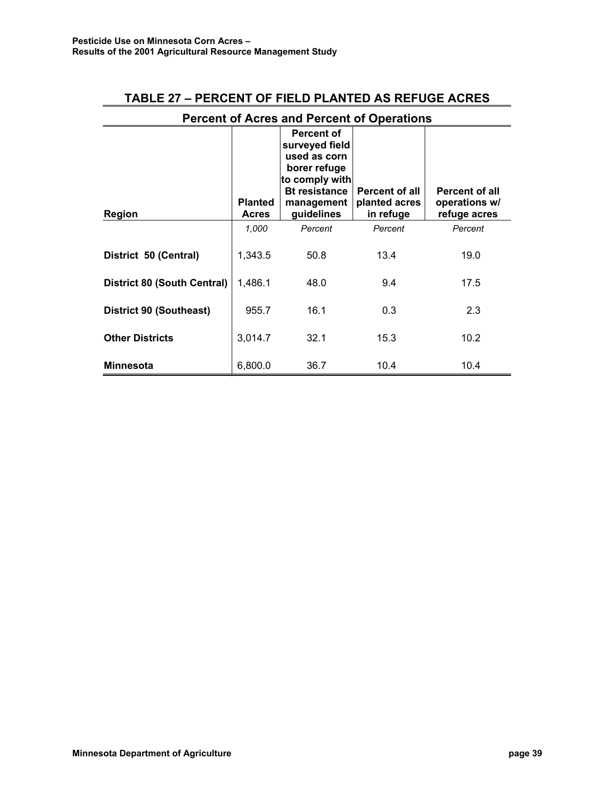| <b>Percent of Acres and Percent of Operations</b> |                                |                                                                                                                                    |                                              |                                                 |  |  |  |
|---------------------------------------------------|--------------------------------|------------------------------------------------------------------------------------------------------------------------------------|----------------------------------------------|-------------------------------------------------|--|--|--|
| <b>Region</b>                                     | <b>Planted</b><br><b>Acres</b> | Percent of<br>surveyed field<br>used as corn<br>borer refuge<br>to comply with<br><b>Bt resistance</b><br>management<br>guidelines | Percent of all<br>planted acres<br>in refuge | Percent of all<br>operations w/<br>refuge acres |  |  |  |
|                                                   | 1,000                          | Percent                                                                                                                            | Percent                                      | Percent                                         |  |  |  |
| District 50 (Central)                             | 1,343.5                        | 50.8                                                                                                                               | 13.4                                         | 19.0                                            |  |  |  |
| District 80 (South Central)                       | 1,486.1                        | 48.0                                                                                                                               | 9.4                                          | 17.5                                            |  |  |  |
| District 90 (Southeast)                           | 955.7                          | 16.1                                                                                                                               | 0.3                                          | 2.3                                             |  |  |  |
| <b>Other Districts</b>                            | 3,014.7                        | 32.1                                                                                                                               | 15.3                                         | 10.2                                            |  |  |  |
| <b>Minnesota</b>                                  | 6,800.0                        | 36.7                                                                                                                               | 10.4                                         | 10.4                                            |  |  |  |

#### **TABLE 27 - PERCENT OF FIELD PLANTED AS REFUGE ACRES**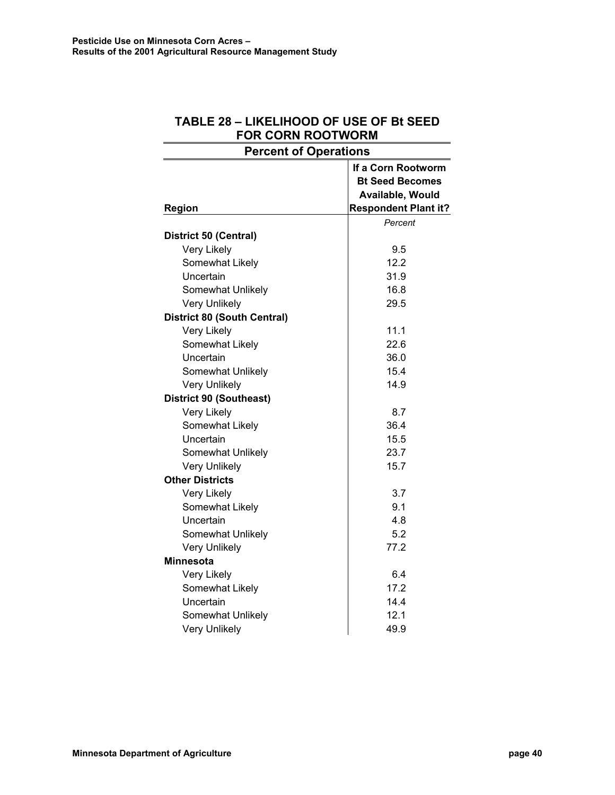| <b>Percent of Operations</b>       |                             |  |  |  |
|------------------------------------|-----------------------------|--|--|--|
| If a Corn Rootworm                 |                             |  |  |  |
|                                    | <b>Bt Seed Becomes</b>      |  |  |  |
|                                    | Available, Would            |  |  |  |
| <b>Region</b>                      | <b>Respondent Plant it?</b> |  |  |  |
|                                    | Percent                     |  |  |  |
| <b>District 50 (Central)</b>       |                             |  |  |  |
| <b>Very Likely</b>                 | 9.5                         |  |  |  |
| Somewhat Likely                    | 12.2                        |  |  |  |
| Uncertain                          | 31.9                        |  |  |  |
| Somewhat Unlikely                  | 16.8                        |  |  |  |
| <b>Very Unlikely</b>               | 29.5                        |  |  |  |
| <b>District 80 (South Central)</b> |                             |  |  |  |
| <b>Very Likely</b>                 | 11.1                        |  |  |  |
| Somewhat Likely                    | 22.6                        |  |  |  |
| Uncertain                          | 36.0                        |  |  |  |
| Somewhat Unlikely                  | 15.4                        |  |  |  |
| <b>Very Unlikely</b>               | 14.9                        |  |  |  |
| <b>District 90 (Southeast)</b>     |                             |  |  |  |
| <b>Very Likely</b>                 | 8.7                         |  |  |  |
| Somewhat Likely                    | 36.4                        |  |  |  |
| Uncertain                          | 15.5                        |  |  |  |
| Somewhat Unlikely                  | 23.7                        |  |  |  |
| <b>Very Unlikely</b>               | 15.7                        |  |  |  |
| <b>Other Districts</b>             |                             |  |  |  |
| <b>Very Likely</b>                 | 3.7                         |  |  |  |
| Somewhat Likely                    | 9.1                         |  |  |  |
| Uncertain                          | 4.8                         |  |  |  |
| Somewhat Unlikely                  | 5.2                         |  |  |  |
| <b>Very Unlikely</b>               | 77.2                        |  |  |  |
| <b>Minnesota</b>                   |                             |  |  |  |
| <b>Very Likely</b>                 | 6.4                         |  |  |  |
| Somewhat Likely                    | 17.2                        |  |  |  |
| Uncertain                          | 14.4                        |  |  |  |
| Somewhat Unlikely                  | 12.1                        |  |  |  |
| <b>Very Unlikely</b>               | 49.9                        |  |  |  |

#### **TABLE 28 - LIKELIHOOD OF USE OF Bt SEED FOR CORN ROOTWORM**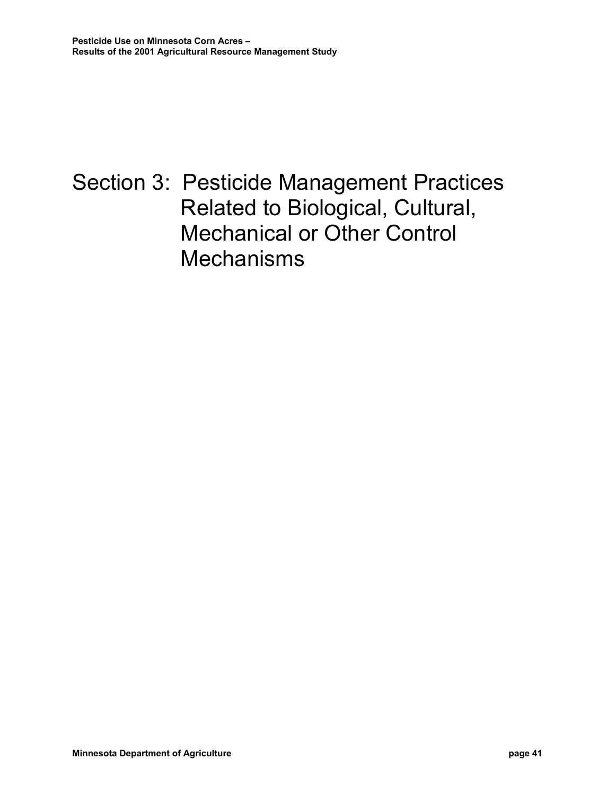# Section 3: Pesticide Management Practices Related to Biological, Cultural, Mechanical or Other Control **Mechanisms**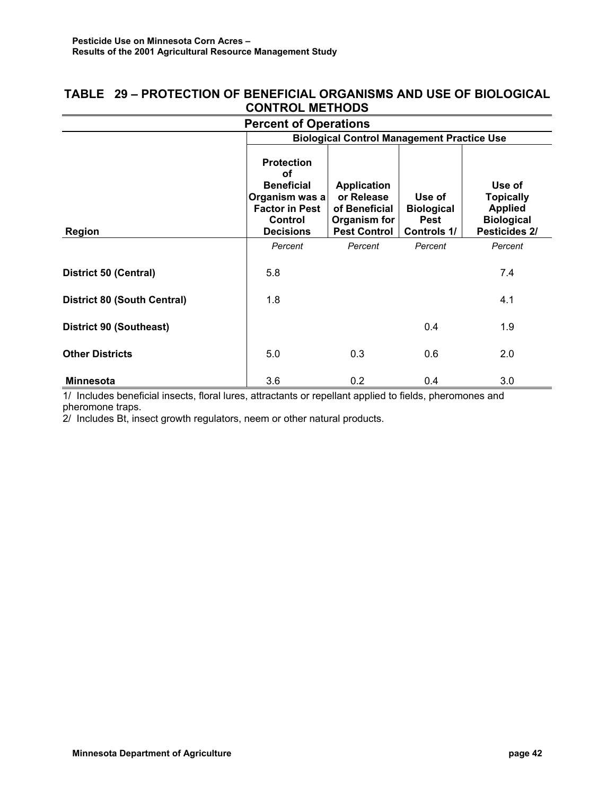#### **TABLE 29 - PROTECTION OF BENEFICIAL ORGANISMS AND USE OF BIOLOGICAL CONTROL METHODS**

| <b>Percent of Operations</b>       |                                                                                                                        |                                                                                          |                                                                  |                                                                                    |  |  |
|------------------------------------|------------------------------------------------------------------------------------------------------------------------|------------------------------------------------------------------------------------------|------------------------------------------------------------------|------------------------------------------------------------------------------------|--|--|
|                                    | <b>Biological Control Management Practice Use</b>                                                                      |                                                                                          |                                                                  |                                                                                    |  |  |
| Region                             | <b>Protection</b><br>οf<br><b>Beneficial</b><br>Organism was a<br><b>Factor in Pest</b><br>Control<br><b>Decisions</b> | <b>Application</b><br>or Release<br>of Beneficial<br>Organism for<br><b>Pest Control</b> | Use of<br><b>Biological</b><br><b>Pest</b><br><b>Controls 1/</b> | Use of<br><b>Topically</b><br><b>Applied</b><br><b>Biological</b><br>Pesticides 2/ |  |  |
|                                    | Percent                                                                                                                | Percent                                                                                  | Percent                                                          | Percent                                                                            |  |  |
| <b>District 50 (Central)</b>       | 5.8                                                                                                                    |                                                                                          |                                                                  | 7.4                                                                                |  |  |
| <b>District 80 (South Central)</b> | 1.8                                                                                                                    |                                                                                          |                                                                  | 4.1                                                                                |  |  |
| District 90 (Southeast)            |                                                                                                                        |                                                                                          | 0.4                                                              | 1.9                                                                                |  |  |
| <b>Other Districts</b>             | 5.0                                                                                                                    | 0.3                                                                                      | 0.6                                                              | 2.0                                                                                |  |  |
| <b>Minnesota</b>                   | 3.6                                                                                                                    | 0.2                                                                                      | 0.4                                                              | 3.0                                                                                |  |  |

1/ Includes beneficial insects, floral lures, attractants or repellant applied to fields, pheromones and pheromone traps.

2/ Includes Bt, insect growth regulators, neem or other natural products.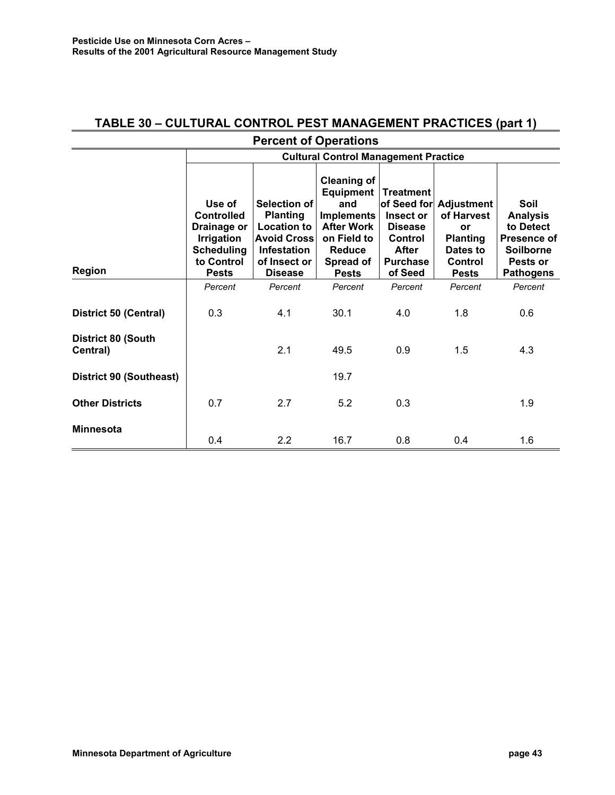| <b>Percent of Operations</b>          |                                                                                                                    |                                                                                                                              |                                                                                                                                               |                                                                                                   |                                                                                                             |                                                                                                         |  |
|---------------------------------------|--------------------------------------------------------------------------------------------------------------------|------------------------------------------------------------------------------------------------------------------------------|-----------------------------------------------------------------------------------------------------------------------------------------------|---------------------------------------------------------------------------------------------------|-------------------------------------------------------------------------------------------------------------|---------------------------------------------------------------------------------------------------------|--|
|                                       | <b>Cultural Control Management Practice</b>                                                                        |                                                                                                                              |                                                                                                                                               |                                                                                                   |                                                                                                             |                                                                                                         |  |
| <b>Region</b>                         | Use of<br><b>Controlled</b><br>Drainage or<br><b>Irrigation</b><br><b>Scheduling</b><br>to Control<br><b>Pests</b> | Selection of<br><b>Planting</b><br><b>Location to</b><br><b>Avoid Cross</b><br>Infestation<br>of Insect or<br><b>Disease</b> | <b>Cleaning of</b><br><b>Equipment</b><br>and<br><b>Implements</b><br><b>After Work</b><br>on Field to<br>Reduce<br>Spread of<br><b>Pests</b> | <b>Treatment</b><br>Insect or<br><b>Disease</b><br>Control<br>After<br><b>Purchase</b><br>of Seed | of Seed for Adjustment<br>of Harvest<br>or<br><b>Planting</b><br>Dates to<br><b>Control</b><br><b>Pests</b> | Soil<br><b>Analysis</b><br>to Detect<br>Presence of<br><b>Soilborne</b><br>Pests or<br><b>Pathogens</b> |  |
|                                       | Percent                                                                                                            | Percent                                                                                                                      | Percent                                                                                                                                       | Percent                                                                                           | Percent                                                                                                     | Percent                                                                                                 |  |
| <b>District 50 (Central)</b>          | 0.3                                                                                                                | 4.1                                                                                                                          | 30.1                                                                                                                                          | 4.0                                                                                               | 1.8                                                                                                         | 0.6                                                                                                     |  |
| <b>District 80 (South</b><br>Central) |                                                                                                                    | 2.1                                                                                                                          | 49.5                                                                                                                                          | 0.9                                                                                               | 1.5                                                                                                         | 4.3                                                                                                     |  |
| <b>District 90 (Southeast)</b>        |                                                                                                                    |                                                                                                                              | 19.7                                                                                                                                          |                                                                                                   |                                                                                                             |                                                                                                         |  |
| <b>Other Districts</b>                | 0.7                                                                                                                | 2.7                                                                                                                          | 5.2                                                                                                                                           | 0.3                                                                                               |                                                                                                             | 1.9                                                                                                     |  |
| <b>Minnesota</b>                      | 0.4                                                                                                                | 2.2                                                                                                                          | 16.7                                                                                                                                          | 0.8                                                                                               | 0.4                                                                                                         | 1.6                                                                                                     |  |

#### **TABLE 30 - CULTURAL CONTROL PEST MANAGEMENT PRACTICES (part 1)**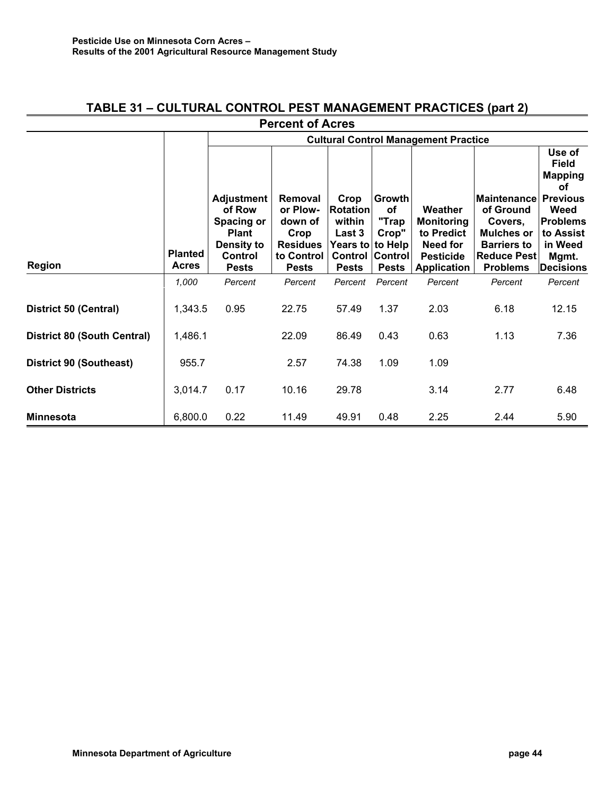| $-$ 00 FIGURE CONTINUE FEUT MANAGEMENT FIGGUIDEO (part 4)<br><b>Percent of Acres</b> |                                |                                                                                                           |                                                                                         |                                                                                                           |                                                       |                                                                                                  |                                                                                                                         |                                                                                                                                                   |
|--------------------------------------------------------------------------------------|--------------------------------|-----------------------------------------------------------------------------------------------------------|-----------------------------------------------------------------------------------------|-----------------------------------------------------------------------------------------------------------|-------------------------------------------------------|--------------------------------------------------------------------------------------------------|-------------------------------------------------------------------------------------------------------------------------|---------------------------------------------------------------------------------------------------------------------------------------------------|
|                                                                                      |                                | <b>Cultural Control Management Practice</b>                                                               |                                                                                         |                                                                                                           |                                                       |                                                                                                  |                                                                                                                         |                                                                                                                                                   |
| Region                                                                               | <b>Planted</b><br><b>Acres</b> | <b>Adjustment</b><br>of Row<br>Spacing or<br><b>Plant</b><br><b>Density to</b><br>Control<br><b>Pests</b> | Removal<br>or Plow-<br>down of<br>Crop<br><b>Residues</b><br>to Control<br><b>Pests</b> | Crop<br><b>Rotation</b><br>within<br>Last 3<br>Years to to Help<br><b>Control Control</b><br><b>Pests</b> | <b>Growth</b><br>οf<br>"Trap<br>Crop"<br><b>Pests</b> | Weather<br><b>Monitoring</b><br>to Predict<br>Need for<br><b>Pesticide</b><br><b>Application</b> | <b>Maintenance</b><br>of Ground<br>Covers,<br>Mulches or<br><b>Barriers to</b><br><b>Reduce Pest</b><br><b>Problems</b> | Use of<br><b>Field</b><br><b>Mapping</b><br>οf<br><b>Previous</b><br>Weed<br><b>Problems</b><br>to Assist<br>in Weed<br>Mgmt.<br><b>Decisions</b> |
|                                                                                      | 1,000                          | Percent                                                                                                   | Percent                                                                                 | Percent                                                                                                   | Percent                                               | Percent                                                                                          | Percent                                                                                                                 | Percent                                                                                                                                           |
| <b>District 50 (Central)</b>                                                         | 1,343.5                        | 0.95                                                                                                      | 22.75                                                                                   | 57.49                                                                                                     | 1.37                                                  | 2.03                                                                                             | 6.18                                                                                                                    | 12.15                                                                                                                                             |
| <b>District 80 (South Central)</b>                                                   | 1,486.1                        |                                                                                                           | 22.09                                                                                   | 86.49                                                                                                     | 0.43                                                  | 0.63                                                                                             | 1.13                                                                                                                    | 7.36                                                                                                                                              |
| <b>District 90 (Southeast)</b>                                                       | 955.7                          |                                                                                                           | 2.57                                                                                    | 74.38                                                                                                     | 1.09                                                  | 1.09                                                                                             |                                                                                                                         |                                                                                                                                                   |
| <b>Other Districts</b>                                                               | 3,014.7                        | 0.17                                                                                                      | 10.16                                                                                   | 29.78                                                                                                     |                                                       | 3.14                                                                                             | 2.77                                                                                                                    | 6.48                                                                                                                                              |
| <b>Minnesota</b>                                                                     | 6,800.0                        | 0.22                                                                                                      | 11.49                                                                                   | 49.91                                                                                                     | 0.48                                                  | 2.25                                                                                             | 2.44                                                                                                                    | 5.90                                                                                                                                              |

#### **TABLE 31 ñ CULTURAL CONTROL PEST MANAGEMENT PRACTICES (part 2)**